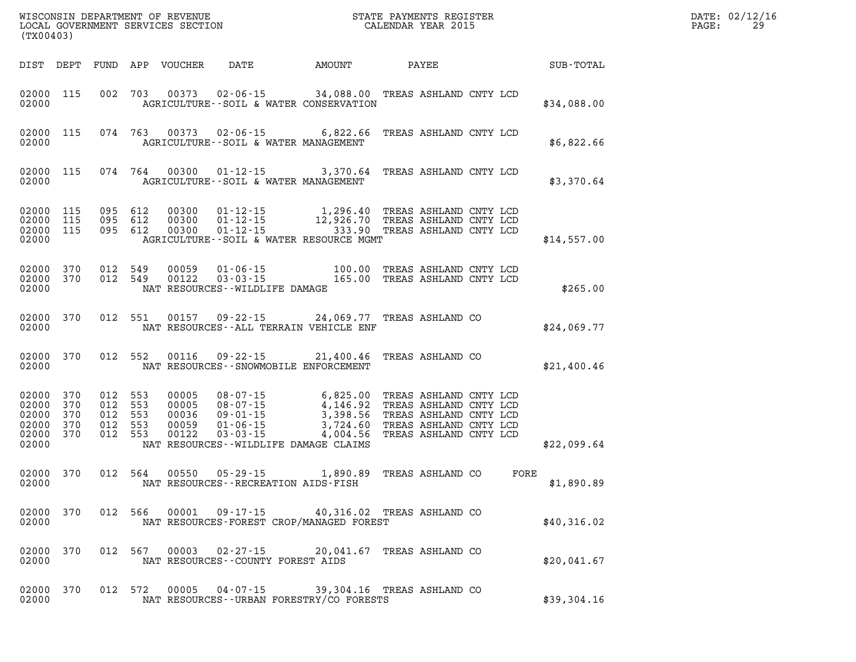| (TX00403)                                          |                                 |                                 |                                 | WISCONSIN DEPARTMENT OF REVENUE<br>LOCAL GOVERNMENT SERVICES SECTION |                                                                                                                                   |                                                          | STATE PAYMENTS REGISTER<br>CALENDAR YEAR 2015                                                                                  |      |                  |
|----------------------------------------------------|---------------------------------|---------------------------------|---------------------------------|----------------------------------------------------------------------|-----------------------------------------------------------------------------------------------------------------------------------|----------------------------------------------------------|--------------------------------------------------------------------------------------------------------------------------------|------|------------------|
| DIST                                               | DEPT                            | FUND                            | APP                             | <b>VOUCHER</b>                                                       | DATE                                                                                                                              | AMOUNT                                                   | PAYEE                                                                                                                          |      | <b>SUB-TOTAL</b> |
| 02000<br>02000                                     | 115                             | 002                             | 703                             | 00373                                                                | $02 - 06 - 15$ 34,088.00<br>AGRICULTURE -- SOIL & WATER CONSERVATION                                                              |                                                          | TREAS ASHLAND CNTY LCD                                                                                                         |      | \$34,088.00      |
| 02000<br>02000                                     | 115                             | 074                             | 763                             | 00373                                                                | $02 - 06 - 15$ 6,822.66<br>AGRICULTURE--SOIL & WATER MANAGEMENT                                                                   |                                                          | TREAS ASHLAND CNTY LCD                                                                                                         |      | \$6,822.66       |
| 02000<br>02000                                     | 115                             | 074                             | 764                             | 00300                                                                | $01 - 12 - 15$<br>AGRICULTURE--SOIL & WATER MANAGEMENT                                                                            | 3,370.64                                                 | TREAS ASHLAND CNTY LCD                                                                                                         |      | \$3,370.64       |
| 02000<br>02000<br>02000<br>02000                   | 115<br>115<br>115               | 095<br>095<br>095               | 612<br>612<br>612               | 00300<br>00300<br>00300                                              | $01 - 12 - 15$<br>$01 - 12 - 15$<br>$01 - 12 - 15$<br>AGRICULTURE--SOIL & WATER RESOURCE MGMT                                     | 1,296.40<br>12,926.70<br>333.90                          | TREAS ASHLAND CNTY LCD<br>TREAS ASHLAND CNTY LCD<br>TREAS ASHLAND CNTY LCD                                                     |      | \$14,557.00      |
| 02000<br>02000<br>02000                            | 370<br>370                      | 012<br>012                      | 549<br>549                      | 00059<br>00122                                                       | $01 - 06 - 15$<br>$03 - 03 - 15$<br>NAT RESOURCES - - WILDLIFE DAMAGE                                                             | 100.00<br>165.00                                         | TREAS ASHLAND CNTY LCD<br>TREAS ASHLAND CNTY LCD                                                                               |      | \$265.00         |
| 02000<br>02000                                     | 370                             | 012                             | 551                             | 00157                                                                | $09 - 22 - 15$<br>NAT RESOURCES -- ALL TERRAIN VEHICLE ENF                                                                        | 24,069.77                                                | TREAS ASHLAND CO                                                                                                               |      | \$24,069.77      |
| 02000<br>02000                                     | 370                             | 012                             | 552                             | 00116                                                                | $09 - 22 - 15$<br>NAT RESOURCES - - SNOWMOBILE ENFORCEMENT                                                                        | 21,400.46                                                | TREAS ASHLAND CO                                                                                                               |      | \$21,400.46      |
| 02000<br>02000<br>02000<br>02000<br>02000<br>02000 | 370<br>370<br>370<br>370<br>370 | 012<br>012<br>012<br>012<br>012 | 553<br>553<br>553<br>553<br>553 | 00005<br>00005<br>00036<br>00059<br>00122                            | $08 - 07 - 15$<br>$08 - 07 - 15$<br>$09 - 01 - 15$<br>$01 - 06 - 15$<br>$03 - 03 - 15$<br>NAT RESOURCES -- WILDLIFE DAMAGE CLAIMS | 6,825.00<br>4,146.92<br>3,398.56<br>3,724.60<br>4,004.56 | TREAS ASHLAND CNTY LCD<br>TREAS ASHLAND CNTY LCD<br>TREAS ASHLAND CNTY LCD<br>TREAS ASHLAND CNTY LCD<br>TREAS ASHLAND CNTY LCD |      | \$22,099.64      |
| 02000<br>02000                                     | 370                             | 012                             | 564                             | 00550                                                                | $05 - 29 - 15$<br>NAT RESOURCES - - RECREATION AIDS - FISH                                                                        | 1,890.89                                                 | TREAS ASHLAND CO                                                                                                               | FORE | \$1,890.89       |
| 02000<br>02000                                     | 370                             | 012                             | 566                             | 00001                                                                | 09 - 17 - 15<br>NAT RESOURCES-FOREST CROP/MANAGED FOREST                                                                          | 40,316.02 TREAS ASHLAND CO                               |                                                                                                                                |      | \$40,316.02      |
| 02000<br>02000                                     | 370                             | 012                             | 567                             | 00003                                                                | $02 - 27 - 15$<br>NAT RESOURCES - COUNTY FOREST AIDS                                                                              | 20,041.67                                                | TREAS ASHLAND CO                                                                                                               |      | \$20,041.67      |
| 02000<br>02000                                     | 370                             | 012                             | 572                             | 00005                                                                | 04-07-15<br>NAT RESOURCES - - URBAN FORESTRY/CO FORESTS                                                                           | 39,304.16                                                | TREAS ASHLAND CO                                                                                                               |      | \$39,304.16      |

**DATE: 02/12/16<br>PAGE: 29**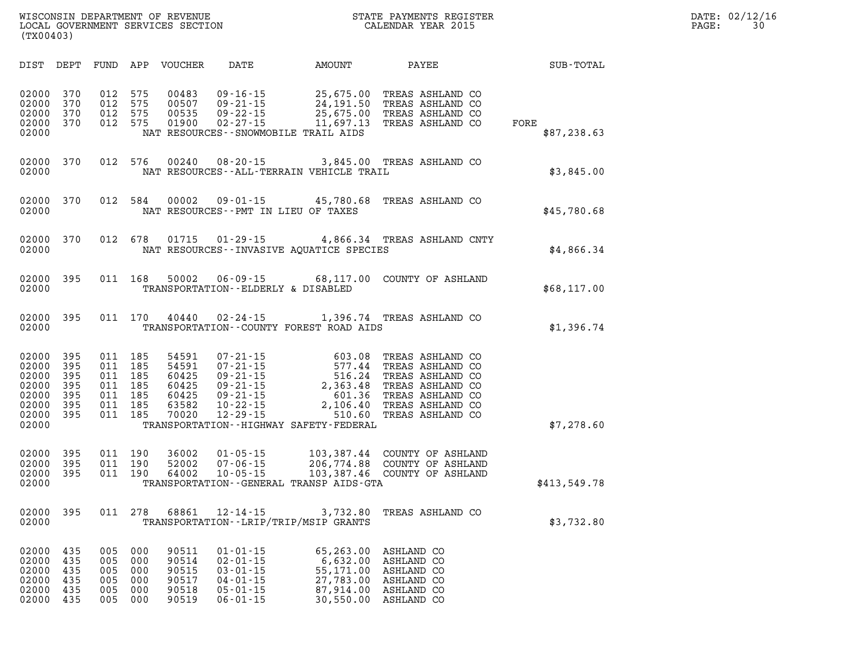| DIST                                                                 | DEPT                                          | FUND                                          | APP                                           | <b>VOUCHER</b>                                              | DATE                                                                                                                       | AMOUNT                                                                                                                | PAYEE                                                                                                                                    | SUB-TOTAL           |
|----------------------------------------------------------------------|-----------------------------------------------|-----------------------------------------------|-----------------------------------------------|-------------------------------------------------------------|----------------------------------------------------------------------------------------------------------------------------|-----------------------------------------------------------------------------------------------------------------------|------------------------------------------------------------------------------------------------------------------------------------------|---------------------|
| 02000<br>02000<br>02000<br>02000<br>02000                            | 370<br>370<br>370<br>370                      | 012<br>012<br>012<br>012                      | 575<br>575<br>575<br>575                      | 00483<br>00507<br>00535<br>01900                            | $09 - 16 - 15$<br>$09 - 21 - 15$<br>$09 - 22 - 15$<br>$02 - 27 - 15$                                                       | 25,675.00<br>24, 191.50<br>25,675.00<br>11,697.13<br>NAT RESOURCES - - SNOWMOBILE TRAIL AIDS                          | TREAS ASHLAND CO<br>TREAS ASHLAND CO<br>TREAS ASHLAND CO<br>TREAS ASHLAND CO                                                             | FORE<br>\$87,238.63 |
| 02000<br>02000                                                       | 370                                           | 012                                           | 576                                           | 00240                                                       | $08 - 20 - 15$                                                                                                             | NAT RESOURCES--ALL-TERRAIN VEHICLE TRAIL                                                                              | 3,845.00 TREAS ASHLAND CO                                                                                                                | \$3,845.00          |
| 02000<br>02000                                                       | 370                                           | 012                                           | 584                                           | 00002                                                       | $09 - 01 - 15$                                                                                                             | 45,780.68<br>NAT RESOURCES - - PMT IN LIEU OF TAXES                                                                   | TREAS ASHLAND CO                                                                                                                         | \$45,780.68         |
| 02000<br>02000                                                       | 370                                           | 012                                           | 678                                           | 01715                                                       | $01 - 29 - 15$                                                                                                             | NAT RESOURCES--INVASIVE AQUATICE SPECIES                                                                              | 4,866.34 TREAS ASHLAND CNTY                                                                                                              | \$4,866.34          |
| 02000<br>02000                                                       | 395                                           | 011                                           | 168                                           | 50002                                                       | TRANSPORTATION--ELDERLY & DISABLED                                                                                         | $06 - 09 - 15$ 68,117.00                                                                                              | COUNTY OF ASHLAND                                                                                                                        | \$68,117.00         |
| 02000<br>02000                                                       | 395                                           | 011                                           | 170                                           | 40440                                                       | $02 - 24 - 15$                                                                                                             | 1,396.74<br>TRANSPORTATION--COUNTY FOREST ROAD AIDS                                                                   | TREAS ASHLAND CO                                                                                                                         | \$1,396.74          |
| 02000<br>02000<br>02000<br>02000<br>02000<br>02000<br>02000<br>02000 | 395<br>395<br>395<br>395<br>395<br>395<br>395 | 011<br>011<br>011<br>011<br>011<br>011<br>011 | 185<br>185<br>185<br>185<br>185<br>185<br>185 | 54591<br>54591<br>60425<br>60425<br>60425<br>63582<br>70020 | $07 - 21 - 15$<br>$07 - 21 - 15$<br>$09 - 21 - 15$<br>$09 - 21 - 15$<br>$09 - 21 - 15$<br>$10 - 22 - 15$<br>$12 - 29 - 15$ | 603.08<br>577.44<br>516.24<br>2,363.48<br>601.36<br>2,106.40<br>510.60<br>TRANSPORTATION - - HIGHWAY SAFETY - FEDERAL | TREAS ASHLAND CO<br>TREAS ASHLAND CO<br>TREAS ASHLAND CO<br>TREAS ASHLAND CO<br>TREAS ASHLAND CO<br>TREAS ASHLAND CO<br>TREAS ASHLAND CO | \$7,278.60          |
| 02000<br>02000<br>02000<br>02000                                     | 395<br>395<br>395                             | 011<br>011<br>011                             | 190<br>190<br>190                             | 36002<br>52002<br>64002                                     | $01 - 05 - 15$<br>$07 - 06 - 15$<br>$10 - 05 - 15$                                                                         | 103,387.44<br>206,774.88<br>103,387.46<br>TRANSPORTATION--GENERAL TRANSP AIDS-GTA                                     | COUNTY OF ASHLAND<br>COUNTY OF ASHLAND<br>COUNTY OF ASHLAND                                                                              | \$413,549.78        |
| 02000<br>02000                                                       | 395                                           | 011                                           | 278                                           | 68861                                                       | $12 - 14 - 15$                                                                                                             | 3,732.80<br>TRANSPORTATION - - LRIP/TRIP/MSIP GRANTS                                                                  | TREAS ASHLAND CO                                                                                                                         | \$3,732.80          |
| 02000<br>02000<br>02000<br>02000<br>02000<br>02000                   | 435<br>435<br>435<br>435<br>435<br>435        | 005<br>005<br>005<br>005<br>005<br>005        | 000<br>000<br>000<br>000<br>000<br>000        | 90511<br>90514<br>90515<br>90517<br>90518<br>90519          | $01 - 01 - 15$<br>$02 - 01 - 15$<br>$03 - 01 - 15$<br>$04 - 01 - 15$<br>$05 - 01 - 15$<br>$06 - 01 - 15$                   | 65,263.00<br>6,632.00<br>55,171.00<br>27,783.00<br>87,914.00<br>30,550.00                                             | ASHLAND CO<br>ASHLAND CO<br>ASHLAND CO<br>ASHLAND CO<br>ASHLAND CO<br>ASHLAND CO                                                         |                     |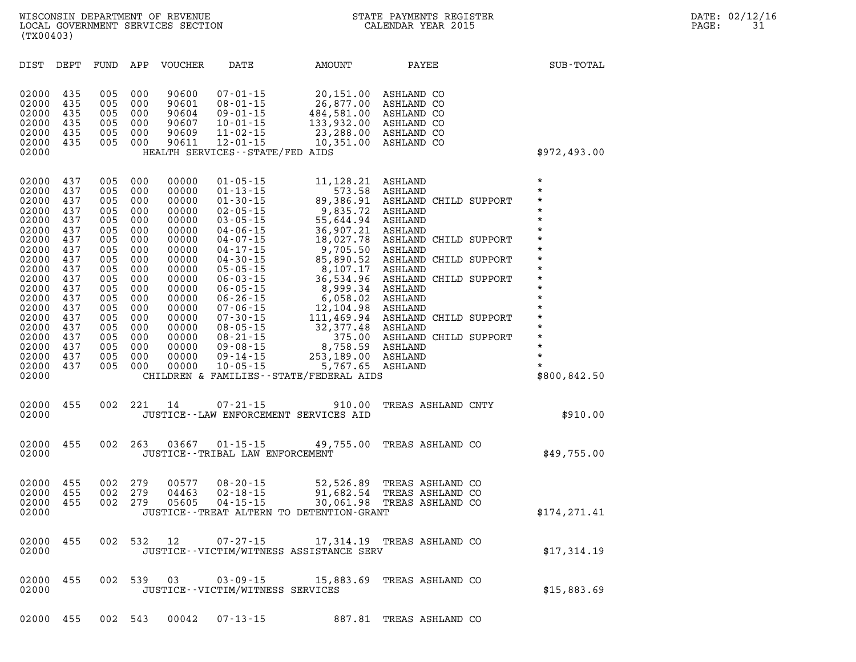| DIST                                                                                                                                                                                      | DEPT                                                                                                                                     | FUND                                                                                                                                     | APP                                                                                                                                      | <b>VOUCHER</b>                                                                                                                                                                   | DATE                                                                                                                                                                                                                                                                                                                                                                 | <b>AMOUNT</b>                                                                                                                                                                                                                                                                                    | PAYEE                                                                                                                                                                                                                                                                                                        |               | SUB-TOTAL                                                                                                                                                                                                                                 |
|-------------------------------------------------------------------------------------------------------------------------------------------------------------------------------------------|------------------------------------------------------------------------------------------------------------------------------------------|------------------------------------------------------------------------------------------------------------------------------------------|------------------------------------------------------------------------------------------------------------------------------------------|----------------------------------------------------------------------------------------------------------------------------------------------------------------------------------|----------------------------------------------------------------------------------------------------------------------------------------------------------------------------------------------------------------------------------------------------------------------------------------------------------------------------------------------------------------------|--------------------------------------------------------------------------------------------------------------------------------------------------------------------------------------------------------------------------------------------------------------------------------------------------|--------------------------------------------------------------------------------------------------------------------------------------------------------------------------------------------------------------------------------------------------------------------------------------------------------------|---------------|-------------------------------------------------------------------------------------------------------------------------------------------------------------------------------------------------------------------------------------------|
| 02000<br>02000<br>02000<br>02000<br>02000<br>02000<br>02000                                                                                                                               | 435<br>435<br>435<br>435<br>435<br>435                                                                                                   | 005<br>005<br>005<br>005<br>005<br>005                                                                                                   | 000<br>000<br>000<br>000<br>000<br>000                                                                                                   | 90600<br>90601<br>90604<br>90607<br>90609<br>90611                                                                                                                               | $07 - 01 - 15$<br>$08 - 01 - 15$<br>$09 - 01 - 15$<br>$10 - 01 - 15$<br>$11 - 02 - 15$<br>$12 - 01 - 15$<br>HEALTH SERVICES--STATE/FED AIDS                                                                                                                                                                                                                          | 20,151.00<br>26,877.00<br>484,581.00<br>133,932.00<br>23,288.00<br>10,351.00                                                                                                                                                                                                                     | ASHLAND CO<br>ASHLAND CO<br>ASHLAND CO<br>ASHLAND CO<br>ASHLAND CO<br>ASHLAND CO                                                                                                                                                                                                                             |               | \$972,493.00                                                                                                                                                                                                                              |
| 02000<br>02000<br>02000<br>02000<br>02000<br>02000<br>02000<br>02000<br>02000<br>02000<br>02000<br>02000<br>02000<br>02000<br>02000<br>02000<br>02000<br>02000<br>02000<br>02000<br>02000 | 437<br>437<br>437<br>437<br>437<br>437<br>437<br>437<br>437<br>437<br>437<br>437<br>437<br>437<br>437<br>437<br>437<br>437<br>437<br>437 | 005<br>005<br>005<br>005<br>005<br>005<br>005<br>005<br>005<br>005<br>005<br>005<br>005<br>005<br>005<br>005<br>005<br>005<br>005<br>005 | 000<br>000<br>000<br>000<br>000<br>000<br>000<br>000<br>000<br>000<br>000<br>000<br>000<br>000<br>000<br>000<br>000<br>000<br>000<br>000 | 00000<br>00000<br>00000<br>00000<br>00000<br>00000<br>00000<br>00000<br>00000<br>00000<br>00000<br>00000<br>00000<br>00000<br>00000<br>00000<br>00000<br>00000<br>00000<br>00000 | $01 - 05 - 15$<br>$01 - 13 - 15$<br>$01 - 30 - 15$<br>$02 - 05 - 15$<br>$03 - 05 - 15$<br>$04 - 06 - 15$<br>$04 - 07 - 15$<br>$04 - 17 - 15$<br>$04 - 30 - 15$<br>$05 - 05 - 15$<br>$06 - 03 - 15$<br>$06 - 05 - 15$<br>$06 - 26 - 15$<br>$07 - 06 - 15$<br>$07 - 30 - 15$<br>$08 - 05 - 15$<br>$08 - 21 - 15$<br>$09 - 08 - 15$<br>$09 - 14 - 15$<br>$10 - 05 - 15$ | 11,128.21<br>573.58<br>89,386.91<br>9,835.72<br>55,644.94<br>36,907.21<br>18,027.78<br>9,705.50<br>85,890.52<br>8,107.17<br>36,534.96<br>8,999.34<br>6,058.02<br>12,104.98<br>111,469.94<br>32,377.48<br>375.00<br>8,758.59<br>253,189.00<br>5,767.65<br>CHILDREN & FAMILIES--STATE/FEDERAL AIDS | ASHLAND<br>ASHLAND<br>ASHLAND CHILD SUPPORT<br>ASHLAND<br>ASHLAND<br>ASHLAND<br>ASHLAND CHILD SUPPORT<br>ASHLAND<br>ASHLAND CHILD SUPPORT<br>ASHLAND<br>ASHLAND<br><b>ASHLAND</b><br>ASHLAND<br>ASHLAND<br>ASHLAND CHILD SUPPORT<br>ASHLAND<br>ASHLAND CHILD SUPPORT<br><b>ASHLAND</b><br>ASHLAND<br>ASHLAND | CHILD SUPPORT | $\star$<br>$\star$<br>$\star$<br>$\star$<br>$\star$<br>$\star$<br>$^\star$<br>$\star$<br>$\star$<br>$\star$<br>$\star$<br>$\star$<br>$\star$<br>$\star$<br>$\star$<br>$\star$<br>$\star$<br>$\star$<br>$\star$<br>$\star$<br>\$800,842.50 |
| 02000<br>02000                                                                                                                                                                            | 455                                                                                                                                      | 002                                                                                                                                      | 221                                                                                                                                      | 14                                                                                                                                                                               | $07 - 21 - 15$                                                                                                                                                                                                                                                                                                                                                       | 910.00<br>JUSTICE -- LAW ENFORCEMENT SERVICES AID                                                                                                                                                                                                                                                | TREAS ASHLAND CNTY                                                                                                                                                                                                                                                                                           |               | \$910.00                                                                                                                                                                                                                                  |
| 02000<br>02000                                                                                                                                                                            | 455                                                                                                                                      | 002                                                                                                                                      | 263                                                                                                                                      | 03667                                                                                                                                                                            | $01 - 15 - 15$<br>JUSTICE - - TRIBAL LAW ENFORCEMENT                                                                                                                                                                                                                                                                                                                 | 49,755.00                                                                                                                                                                                                                                                                                        | TREAS ASHLAND CO                                                                                                                                                                                                                                                                                             |               | \$49,755.00                                                                                                                                                                                                                               |
| 02000<br>02000<br>02000<br>02000                                                                                                                                                          | 455<br>455<br>455                                                                                                                        | 002<br>002<br>002                                                                                                                        | 279<br>279<br>279                                                                                                                        | 00577<br>04463<br>05605                                                                                                                                                          | $08 - 20 - 15$<br>$02 - 18 - 15$<br>$04 - 15 - 15$                                                                                                                                                                                                                                                                                                                   | 52,526.89<br>91,682.54<br>30,061.98<br>JUSTICE - - TREAT ALTERN TO DETENTION - GRANT                                                                                                                                                                                                             | TREAS ASHLAND CO<br>TREAS ASHLAND CO<br>TREAS ASHLAND CO                                                                                                                                                                                                                                                     |               | \$174,271.41                                                                                                                                                                                                                              |
| 02000<br>02000                                                                                                                                                                            | 455                                                                                                                                      | 002                                                                                                                                      | 532                                                                                                                                      | 12                                                                                                                                                                               | $07 - 27 - 15$                                                                                                                                                                                                                                                                                                                                                       | 17,314.19<br>JUSTICE--VICTIM/WITNESS ASSISTANCE SERV                                                                                                                                                                                                                                             | TREAS ASHLAND CO                                                                                                                                                                                                                                                                                             |               | \$17,314.19                                                                                                                                                                                                                               |
| 02000<br>02000                                                                                                                                                                            | 455                                                                                                                                      | 002                                                                                                                                      | 539                                                                                                                                      | 03                                                                                                                                                                               | $03 - 09 - 15$<br>JUSTICE - - VICTIM/WITNESS SERVICES                                                                                                                                                                                                                                                                                                                | 15,883.69                                                                                                                                                                                                                                                                                        | TREAS ASHLAND CO                                                                                                                                                                                                                                                                                             |               | \$15,883.69                                                                                                                                                                                                                               |

**02000 455 002 543 00042 07-13-15 887.81 TREAS ASHLAND CO**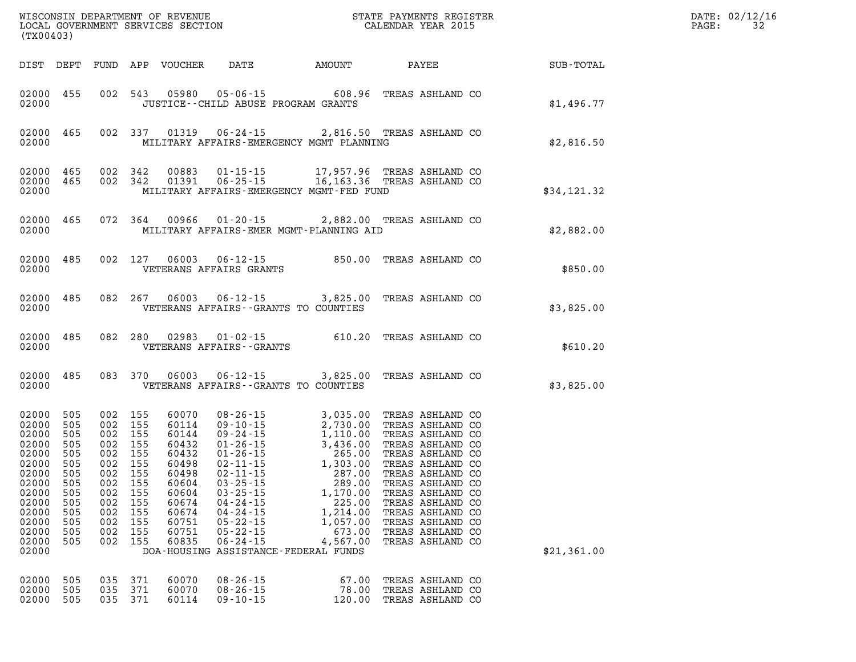| (TX00403)                                                                                                                           |                                                                                                |                                                                                                                                    |                                 |                                                                                                                            | WISCONSIN DEPARTMENT OF REVENUE<br>LOCAL GOVERNMENT SERVICES SECTION FOR THE STATE PAYMENTS REGISTER<br>LOCAL GOVERNMENT SERVICES SECTION                                                                                                                                                                                                                                                                                                                          |                                                                                               |                                                                                                                                                                                                                                                                  |             | DATE: 02/12/16<br>$\mathtt{PAGE}$ :<br>32 |  |
|-------------------------------------------------------------------------------------------------------------------------------------|------------------------------------------------------------------------------------------------|------------------------------------------------------------------------------------------------------------------------------------|---------------------------------|----------------------------------------------------------------------------------------------------------------------------|--------------------------------------------------------------------------------------------------------------------------------------------------------------------------------------------------------------------------------------------------------------------------------------------------------------------------------------------------------------------------------------------------------------------------------------------------------------------|-----------------------------------------------------------------------------------------------|------------------------------------------------------------------------------------------------------------------------------------------------------------------------------------------------------------------------------------------------------------------|-------------|-------------------------------------------|--|
|                                                                                                                                     |                                                                                                |                                                                                                                                    |                                 |                                                                                                                            | DIST DEPT FUND APP VOUCHER DATE AMOUNT PAYEE                                                                                                                                                                                                                                                                                                                                                                                                                       |                                                                                               |                                                                                                                                                                                                                                                                  | SUB-TOTAL   |                                           |  |
| 02000                                                                                                                               | 02000 455                                                                                      |                                                                                                                                    |                                 |                                                                                                                            | 002 543 05980 05-06-15 608.96 TREAS ASHLAND CO<br>JUSTICE -- CHILD ABUSE PROGRAM GRANTS                                                                                                                                                                                                                                                                                                                                                                            |                                                                                               |                                                                                                                                                                                                                                                                  | \$1,496.77  |                                           |  |
| 02000                                                                                                                               |                                                                                                |                                                                                                                                    |                                 |                                                                                                                            | 02000 465 002 337 01319 06-24-15 2,816.50 TREAS ASHLAND CO<br>MILITARY AFFAIRS-EMERGENCY MGMT PLANNING                                                                                                                                                                                                                                                                                                                                                             |                                                                                               |                                                                                                                                                                                                                                                                  | \$2,816.50  |                                           |  |
| 02000                                                                                                                               | 02000 465<br>02000 465                                                                         | 002 342<br>002 342                                                                                                                 |                                 |                                                                                                                            | MILITARY AFFAIRS-EMERGENCY MGMT-FED FUND                                                                                                                                                                                                                                                                                                                                                                                                                           |                                                                                               |                                                                                                                                                                                                                                                                  | \$34,121.32 |                                           |  |
| 02000                                                                                                                               |                                                                                                |                                                                                                                                    |                                 |                                                                                                                            | 02000 465 072 364 00966 01-20-15 2,882.00 TREAS ASHLAND CO<br>MILITARY AFFAIRS-EMER MGMT-PLANNING AID                                                                                                                                                                                                                                                                                                                                                              |                                                                                               |                                                                                                                                                                                                                                                                  | \$2,882.00  |                                           |  |
| 02000                                                                                                                               |                                                                                                |                                                                                                                                    |                                 |                                                                                                                            | 02000 485 002 127 06003 06-12-15 850.00 TREAS ASHLAND CO<br>VETERANS AFFAIRS GRANTS                                                                                                                                                                                                                                                                                                                                                                                |                                                                                               |                                                                                                                                                                                                                                                                  | \$850.00    |                                           |  |
| 02000                                                                                                                               |                                                                                                |                                                                                                                                    |                                 |                                                                                                                            | 02000 485 082 267 06003 06-12-15 3,825.00 TREAS ASHLAND CO<br>VETERANS AFFAIRS - - GRANTS TO COUNTIES                                                                                                                                                                                                                                                                                                                                                              |                                                                                               |                                                                                                                                                                                                                                                                  | \$3,825.00  |                                           |  |
| 02000                                                                                                                               |                                                                                                |                                                                                                                                    |                                 |                                                                                                                            | 02000 485 082 280 02983 01-02-15 610.20 TREAS ASHLAND CO 02000<br>VETERANS AFFAIRS - - GRANTS                                                                                                                                                                                                                                                                                                                                                                      |                                                                                               |                                                                                                                                                                                                                                                                  | \$610.20    |                                           |  |
| 02000                                                                                                                               |                                                                                                |                                                                                                                                    |                                 |                                                                                                                            | 02000 485 083 370 06003 06-12-15 3,825.00 TREAS ASHLAND CO<br>VETERANS AFFAIRS - - GRANTS TO COUNTIES                                                                                                                                                                                                                                                                                                                                                              |                                                                                               |                                                                                                                                                                                                                                                                  | \$3,825.00  |                                           |  |
| 02000<br>02000<br>02000<br>02000<br>02000<br>02000<br>02000<br>02000<br>02000<br>02000<br>02000<br>02000<br>02000<br>02000<br>02000 | 505<br>505<br>505<br>505<br>505<br>505<br>505<br>505<br>505<br>505<br>505<br>505<br>505<br>505 | 002 155<br>002 155<br>002 155<br>002 155<br>002 155<br>002 155<br>002 155<br>002 155<br>002 155<br>002<br>002<br>002<br>002<br>002 | 155<br>155<br>155<br>155<br>155 | 60070<br>60114<br>60144<br>60432<br>60432<br>60498<br>60498<br>60604<br>60604<br>60674<br>60674<br>60751<br>60751<br>60835 | $\begin{array}{llllll} 08\texttt{-}26\texttt{-}15 & 3,035.00 \\ 09\texttt{-}10\texttt{-}15 & 2,730.00 \\ 09\texttt{-}24\texttt{-}15 & 1,110.00 \\ 01\texttt{-}26\texttt{-}15 & 3,436.00 \\ 02\texttt{-}11\texttt{-}15 & 1,303.00 \\ 03\texttt{-}25\texttt{-}15 & 287.00 \\ 03\texttt{-}25\texttt{-}15 & 1,170.00 \\ \end{array}$<br>$04 - 24 - 15$<br>$04 - 24 - 15$<br>$05 - 22 - 15$<br>$05 - 22 - 15$<br>$06 - 24 - 15$<br>DOA-HOUSING ASSISTANCE-FEDERAL FUNDS | 3,035.00 TREAS ASHLAND CO<br>1,170.00<br>225.00<br>1,214.00<br>1,057.00<br>673.00<br>4,567.00 | TREAS ASHLAND CO<br>TREAS ASHLAND CO<br>TREAS ASHLAND CO<br>TREAS ASHLAND CO<br>TREAS ASHLAND CO<br>TREAS ASHLAND CO<br>TREAS ASHLAND CO<br>TREAS ASHLAND CO<br>TREAS ASHLAND CO<br>TREAS ASHLAND CO<br>TREAS ASHLAND CO<br>TREAS ASHLAND CO<br>TREAS ASHLAND CO | \$21,361.00 |                                           |  |
| 02000<br>02000<br>02000                                                                                                             | 505<br>505<br>505                                                                              | 035<br>035<br>035 371                                                                                                              | 371<br>371                      | 60070<br>60070<br>60114                                                                                                    | $08 - 26 - 15$<br>$08 - 26 - 15$<br>$09 - 10 - 15$                                                                                                                                                                                                                                                                                                                                                                                                                 | 67.00<br>78.00<br>120.00                                                                      | TREAS ASHLAND CO<br>TREAS ASHLAND CO<br>TREAS ASHLAND CO                                                                                                                                                                                                         |             |                                           |  |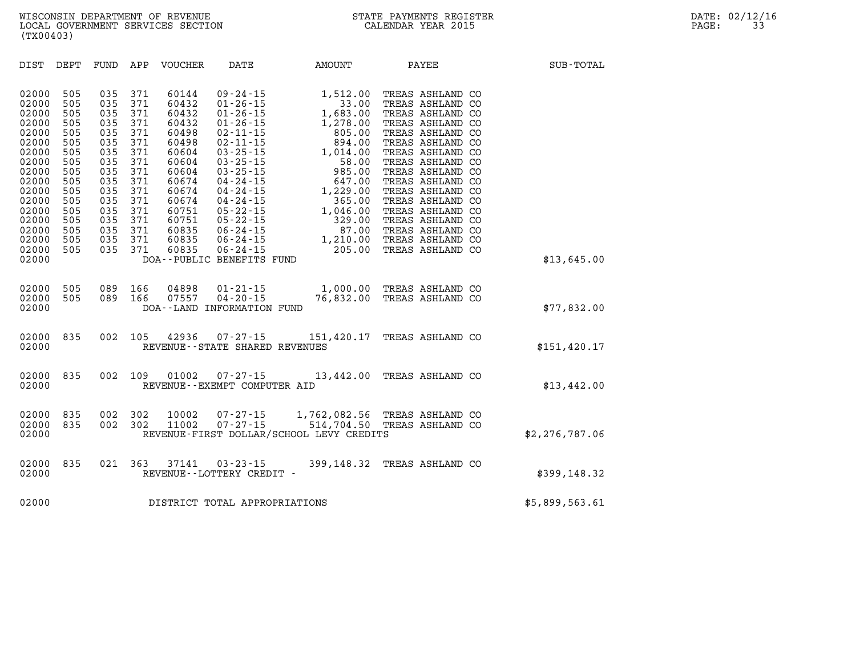| DIST<br>DEPT                                                                                                                                                                                                                                                                          | FUND<br>APP                                                                                                                                                                                                                                | VOUCHER                                                                                                                                                                            | DATE                                                                                                                                                                                                                                                                                                           | AMOUNT                                                                                                                                                                                                             | PAYEE                                                                                                                                                                                                                                                                                                                                            | SUB-TOTAL      |
|---------------------------------------------------------------------------------------------------------------------------------------------------------------------------------------------------------------------------------------------------------------------------------------|--------------------------------------------------------------------------------------------------------------------------------------------------------------------------------------------------------------------------------------------|------------------------------------------------------------------------------------------------------------------------------------------------------------------------------------|----------------------------------------------------------------------------------------------------------------------------------------------------------------------------------------------------------------------------------------------------------------------------------------------------------------|--------------------------------------------------------------------------------------------------------------------------------------------------------------------------------------------------------------------|--------------------------------------------------------------------------------------------------------------------------------------------------------------------------------------------------------------------------------------------------------------------------------------------------------------------------------------------------|----------------|
| 02000<br>505<br>505<br>02000<br>02000<br>505<br>02000<br>505<br>02000<br>505<br>02000<br>505<br>02000<br>505<br>02000<br>505<br>02000<br>505<br>505<br>02000<br>02000<br>505<br>02000<br>505<br>02000<br>505<br>02000<br>505<br>02000<br>505<br>02000<br>505<br>02000<br>505<br>02000 | 035<br>371<br>035<br>371<br>035<br>371<br>371<br>035<br>035<br>371<br>035<br>371<br>035<br>371<br>371<br>035<br>371<br>035<br>371<br>035<br>035<br>371<br>371<br>035<br>371<br>035<br>371<br>035<br>371<br>035<br>035<br>371<br>371<br>035 | 60144<br>60432<br>60432<br>60432<br>60498<br>60498<br>60604<br>60604<br>60604<br>60674<br>60674<br>60674<br>60751<br>60751<br>60835<br>60835<br>60835<br>DOA--PUBLIC BENEFITS FUND | $09 - 24 - 15$<br>$01 - 26 - 15$<br>$01 - 26 - 15$<br>$01 - 26 - 15$<br>$02 - 11 - 15$<br>$02 - 11 - 15$<br>$03 - 25 - 15$<br>$03 - 25 - 15$<br>$03 - 25 - 15$<br>$04 - 24 - 15$<br>$04 - 24 - 15$<br>$04 - 24 - 15$<br>$05 - 22 - 15$<br>$05 - 22 - 15$<br>$06 - 24 - 15$<br>$06 - 24 - 15$<br>$06 - 24 - 15$ | 1,512.00<br>33.00<br>1,683.00<br>1,278.00<br>805.00<br>894.00<br>1,014.00<br>$\begin{array}{r} 1,014 \ 1,006 \ 985.00 \ 647.00 \ 1,229.00 \ 365.00 \ 1,046.00 \ 329.00 \end{array}$<br>87.00<br>1,210.00<br>205.00 | TREAS ASHLAND CO<br>TREAS ASHLAND CO<br>TREAS ASHLAND CO<br>TREAS ASHLAND CO<br>TREAS ASHLAND CO<br>TREAS ASHLAND CO<br>TREAS ASHLAND CO<br>TREAS ASHLAND CO<br>TREAS ASHLAND CO<br>TREAS ASHLAND CO<br>TREAS ASHLAND CO<br>TREAS ASHLAND CO<br>TREAS ASHLAND CO<br>TREAS ASHLAND CO<br>TREAS ASHLAND CO<br>TREAS ASHLAND CO<br>TREAS ASHLAND CO | \$13,645.00    |
| 02000<br>505<br>02000<br>505<br>02000                                                                                                                                                                                                                                                 | 089<br>166<br>166<br>089                                                                                                                                                                                                                   | 04898<br>07557<br>DOA--LAND INFORMATION FUND                                                                                                                                       | $01 - 21 - 15$<br>$04 - 20 - 15$                                                                                                                                                                                                                                                                               |                                                                                                                                                                                                                    | 1,000.00 TREAS ASHLAND CO<br>76,832.00 TREAS ASHLAND CO                                                                                                                                                                                                                                                                                          | \$77,832.00    |
| 835<br>02000<br>02000                                                                                                                                                                                                                                                                 | 002<br>105                                                                                                                                                                                                                                 | 42936<br>REVENUE - - STATE SHARED REVENUES                                                                                                                                         | $07 - 27 - 15$                                                                                                                                                                                                                                                                                                 |                                                                                                                                                                                                                    | 151,420.17 TREAS ASHLAND CO                                                                                                                                                                                                                                                                                                                      | \$151,420.17   |
| 835<br>02000<br>02000                                                                                                                                                                                                                                                                 | 002<br>109                                                                                                                                                                                                                                 | 01002<br>REVENUE--EXEMPT COMPUTER AID                                                                                                                                              | $07 - 27 - 15$                                                                                                                                                                                                                                                                                                 |                                                                                                                                                                                                                    | 13,442.00 TREAS ASHLAND CO                                                                                                                                                                                                                                                                                                                       | \$13,442.00    |
| 02000<br>835<br>02000<br>835<br>02000                                                                                                                                                                                                                                                 | 002<br>302<br>302<br>002                                                                                                                                                                                                                   | 10002<br>11002<br>REVENUE-FIRST DOLLAR/SCHOOL LEVY CREDITS                                                                                                                         | $07 - 27 - 15$<br>$07 - 27 - 15$                                                                                                                                                                                                                                                                               |                                                                                                                                                                                                                    | 1,762,082.56 TREAS ASHLAND CO<br>514,704.50 TREAS ASHLAND CO                                                                                                                                                                                                                                                                                     | \$2,276,787.06 |
| 835<br>02000<br>02000                                                                                                                                                                                                                                                                 | 021<br>363                                                                                                                                                                                                                                 | 37141<br>REVENUE--LOTTERY CREDIT -                                                                                                                                                 | $03 - 23 - 15$                                                                                                                                                                                                                                                                                                 |                                                                                                                                                                                                                    | 399,148.32 TREAS ASHLAND CO                                                                                                                                                                                                                                                                                                                      | \$399,148.32   |
| 02000                                                                                                                                                                                                                                                                                 |                                                                                                                                                                                                                                            | DISTRICT TOTAL APPROPRIATIONS                                                                                                                                                      |                                                                                                                                                                                                                                                                                                                |                                                                                                                                                                                                                    |                                                                                                                                                                                                                                                                                                                                                  | \$5,899,563.61 |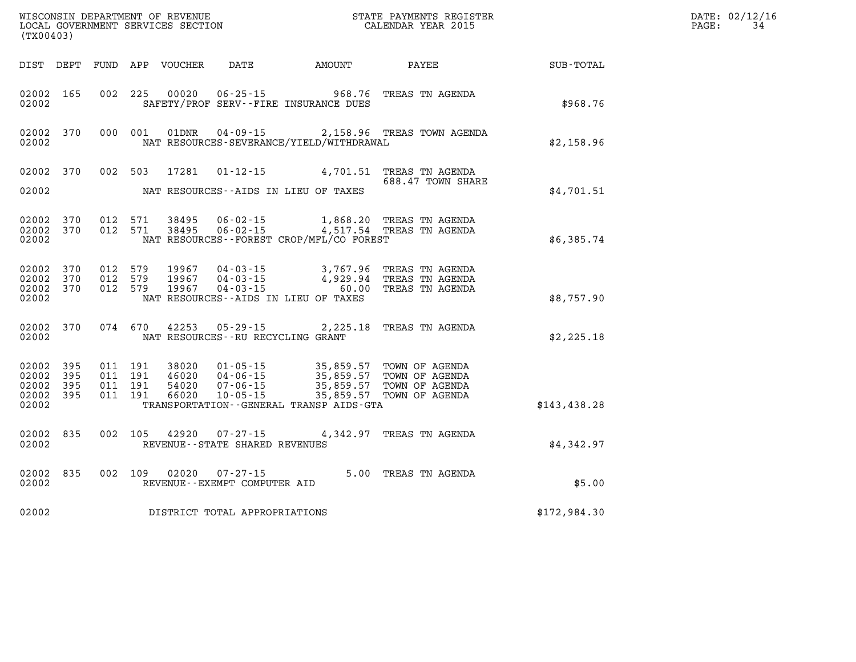| (TX00403)                                |                           |         |                               | WISCONSIN DEPARTMENT OF REVENUE<br>LOCAL GOVERNMENT SERVICES SECTION |                                                        |                                                                | STATE PAYMENTS REGISTER<br>CALENDAR YEAR 2015                                                                                                                                        |              | DATE: 02/12/16<br>34<br>PAGE: |
|------------------------------------------|---------------------------|---------|-------------------------------|----------------------------------------------------------------------|--------------------------------------------------------|----------------------------------------------------------------|--------------------------------------------------------------------------------------------------------------------------------------------------------------------------------------|--------------|-------------------------------|
|                                          |                           |         |                               | DIST DEPT FUND APP VOUCHER                                           | DATE                                                   | AMOUNT                                                         | PAYEE                                                                                                                                                                                | SUB-TOTAL    |                               |
| 02002 165<br>02002                       |                           |         | 002 225                       |                                                                      |                                                        | 00020 06-25-15 968.76<br>SAFETY/PROF SERV--FIRE INSURANCE DUES | TREAS TN AGENDA                                                                                                                                                                      | \$968.76     |                               |
| 02002                                    | 02002 370                 |         |                               | 000 001 01DNR                                                        | 04 - 09 - 15                                           | NAT RESOURCES-SEVERANCE/YIELD/WITHDRAWAL                       | 2,158.96 TREAS TOWN AGENDA                                                                                                                                                           | \$2,158.96   |                               |
| 02002                                    | 02002 370                 |         |                               | 002 503 17281                                                        |                                                        | NAT RESOURCES--AIDS IN LIEU OF TAXES                           | 01-12-15 4,701.51 TREAS TN AGENDA<br>688.47 TOWN SHARE                                                                                                                               | \$4,701.51   |                               |
| 02002 370<br>02002 370<br>02002          |                           |         | 012 571<br>012 571            |                                                                      |                                                        | NAT RESOURCES - - FOREST CROP/MFL/CO FOREST                    |                                                                                                                                                                                      | \$6,385.74   |                               |
| 02002 370<br>02002<br>02002 370<br>02002 | 370                       | 012 579 | 012 579<br>012 579            | 19967                                                                |                                                        | $04 - 03 - 15$ 60.00<br>NAT RESOURCES -- AIDS IN LIEU OF TAXES | 19967  04-03-15  3,767.96  TREAS TN AGENDA<br>19967  04-03-15  4,929.94  TREAS TN AGENDA<br>TREAS TN AGENDA                                                                          | \$8,757.90   |                               |
| 02002                                    | 02002 370                 |         | 074 670                       |                                                                      | NAT RESOURCES - - RU RECYCLING GRANT                   |                                                                | 42253 05-29-15 2, 225.18 TREAS TN AGENDA                                                                                                                                             | \$2,225.18   |                               |
| 02002<br>02002 395<br>02002<br>02002     | 395<br>- 395<br>02002 395 | 011 191 | 011 191<br>011 191<br>011 191 |                                                                      |                                                        | TRANSPORTATION - - GENERAL TRANSP AIDS - GTA                   | 38020  01-05-15  35,859.57  TOWN OF AGENDA<br>46020  04-06-15  35,859.57  TOWN OF AGENDA<br>54020  07-06-15  35,859.57  TOWN OF AGENDA<br>66020  10-05-15  35,859.57  TOWN OF AGENDA | \$143,438.28 |                               |
| 02002 835<br>02002                       |                           |         | 002 105                       |                                                                      | 42920 07-27-15<br>REVENUE - - STATE SHARED REVENUES    |                                                                | 4,342.97 TREAS TN AGENDA                                                                                                                                                             | \$4,342.97   |                               |
| 02002 835<br>02002                       |                           |         |                               |                                                                      | 002 109 02020 07-27-15<br>REVENUE--EXEMPT COMPUTER AID |                                                                | 5.00 TREAS TN AGENDA                                                                                                                                                                 | \$5.00       |                               |
| 02002                                    |                           |         |                               |                                                                      | DISTRICT TOTAL APPROPRIATIONS                          |                                                                |                                                                                                                                                                                      | \$172,984.30 |                               |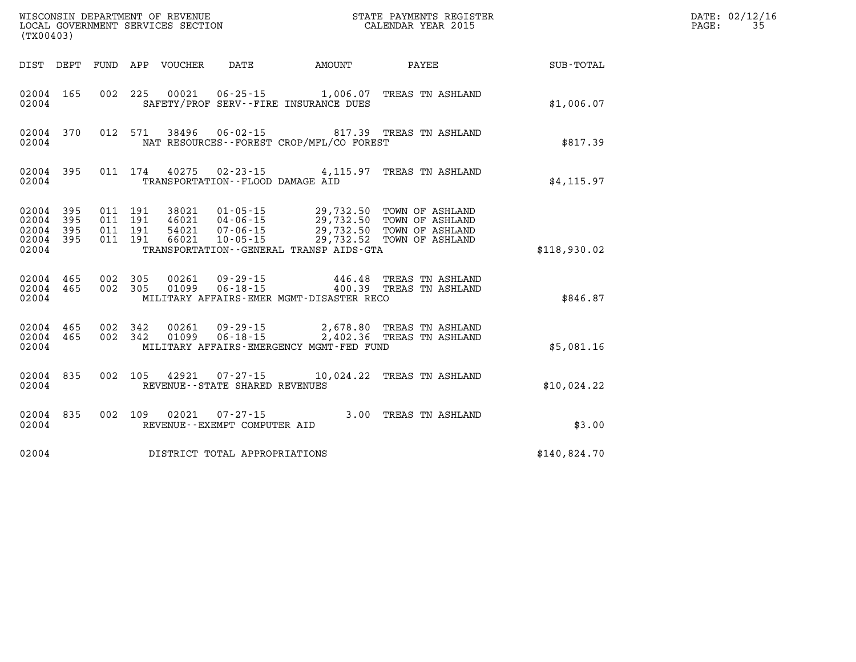| (TX00403)                                 |                          |                          |                          | WISCONSIN DEPARTMENT OF REVENUE<br>LOCAL GOVERNMENT SERVICES SECTION |                                                                |                                                    | STATE PAYMENTS REGISTER<br>CALENDAR YEAR 2015                                                                    |              |
|-------------------------------------------|--------------------------|--------------------------|--------------------------|----------------------------------------------------------------------|----------------------------------------------------------------|----------------------------------------------------|------------------------------------------------------------------------------------------------------------------|--------------|
| DIST                                      | DEPT                     | FUND                     | APP                      |                                                                      |                                                                | VOUCHER DATE AMOUNT                                | <b>PAYEE</b>                                                                                                     | SUB-TOTAL    |
| 02004<br>02004                            | 165                      | 002                      | 225                      | 00021                                                                |                                                                | SAFETY/PROF SERV--FIRE INSURANCE DUES              | 06-25-15 1,006.07 TREAS TN ASHLAND                                                                               | \$1,006.07   |
| 02004<br>02004                            | 370                      | 012                      | 571                      | 38496                                                                |                                                                | NAT RESOURCES - - FOREST CROP/MFL/CO FOREST        | 06-02-15 817.39 TREAS TN ASHLAND                                                                                 | \$817.39     |
| 02004<br>02004                            | 395                      | 011                      | 174                      | 40275                                                                | TRANSPORTATION -- FLOOD DAMAGE AID                             | $02 - 23 - 15$ 4, 115.97                           | TREAS TN ASHLAND                                                                                                 | \$4, 115.97  |
| 02004<br>02004<br>02004<br>02004<br>02004 | 395<br>395<br>395<br>395 | 011<br>011<br>011<br>011 | 191<br>191<br>191<br>191 | 38021<br>46021<br>54021<br>66021                                     | $01 - 05 - 15$<br>$04 - 06 - 15$<br>$07 - 06 - 15$<br>10-05-15 | TRANSPORTATION--GENERAL TRANSP AIDS-GTA            | 29,732.50 TOWN OF ASHLAND<br>29,732.50 TOWN OF ASHLAND<br>29,732.50 TOWN OF ASHLAND<br>29,732.52 TOWN OF ASHLAND | \$118,930.02 |
| 02004<br>02004<br>02004                   | 465<br>465               | 002<br>002               | 305<br>305               | 00261<br>01099                                                       | $09 - 29 - 15$<br>$06 - 18 - 15$                               | 446.48<br>MILITARY AFFAIRS-EMER MGMT-DISASTER RECO | TREAS TN ASHLAND<br>400.39 TREAS TN ASHLAND                                                                      | \$846.87     |
| 02004<br>02004<br>02004                   | 465<br>465               | 002<br>002               | 342<br>342               | 00261<br>01099                                                       | $09 - 29 - 15$                                                 | MILITARY AFFAIRS-EMERGENCY MGMT-FED FUND           | 2,678.80 TREAS TN ASHLAND<br>06-18-15 2,402.36 TREAS TN ASHLAND                                                  | \$5,081.16   |
| 02004<br>02004                            | 835                      | 002                      | 105                      | 42921                                                                | $07 - 27 - 15$<br>REVENUE - - STATE SHARED REVENUES            | 10,024.22                                          | TREAS TN ASHLAND                                                                                                 | \$10,024.22  |
| 02004<br>02004                            | 835                      | 002                      | 109                      | 02021                                                                | $07 - 27 - 15$<br>REVENUE--EXEMPT COMPUTER AID                 |                                                    | 3.00 TREAS TN ASHLAND                                                                                            | \$3.00       |
| 02004                                     |                          |                          |                          |                                                                      | DISTRICT TOTAL APPROPRIATIONS                                  |                                                    |                                                                                                                  | \$140,824.70 |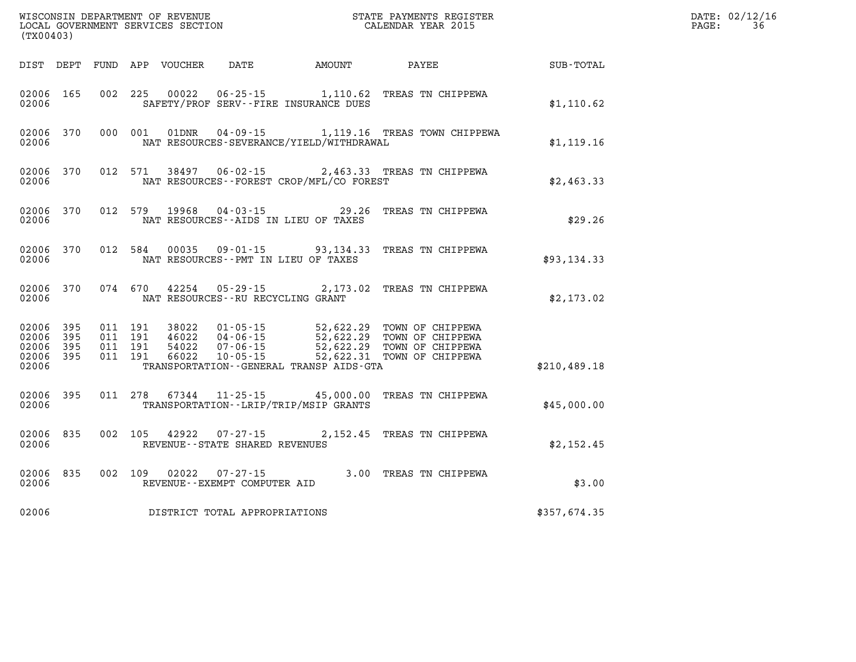| (TX00403)                                             |           |                               |         | WISCONSIN DEPARTMENT OF REVENUE<br>LOCAL GOVERNMENT SERVICES SECTION |                                                          |                                                 | STATE PAYMENTS REGISTER<br>CALENDAR YEAR 2015                                                                                                                              |              | DATE: 02/12/16<br>36<br>PAGE: |
|-------------------------------------------------------|-----------|-------------------------------|---------|----------------------------------------------------------------------|----------------------------------------------------------|-------------------------------------------------|----------------------------------------------------------------------------------------------------------------------------------------------------------------------------|--------------|-------------------------------|
|                                                       |           |                               |         | DIST DEPT FUND APP VOUCHER                                           | DATE                                                     | AMOUNT                                          | PAYEE                                                                                                                                                                      | SUB-TOTAL    |                               |
| 02006 165<br>02006                                    |           |                               | 002 225 | 00022                                                                |                                                          | SAFETY/PROF SERV--FIRE INSURANCE DUES           | 06-25-15 1,110.62 TREAS TN CHIPPEWA                                                                                                                                        | \$1,110.62   |                               |
| 02006                                                 | 02006 370 |                               | 000 001 | 01DNR                                                                | 04 - 09 - 15                                             | NAT RESOURCES-SEVERANCE/YIELD/WITHDRAWAL        | 1,119.16 TREAS TOWN CHIPPEWA                                                                                                                                               | \$1,119.16   |                               |
| 02006                                                 | 02006 370 |                               | 012 571 | 38497                                                                | $06 - 02 - 15$                                           | NAT RESOURCES--FOREST CROP/MFL/CO FOREST        | 2,463.33 TREAS TN CHIPPEWA                                                                                                                                                 | \$2,463.33   |                               |
| 02006                                                 | 02006 370 | 012 579                       |         | 19968                                                                | $04 - 03 - 15$                                           | 29.26<br>NAT RESOURCES -- AIDS IN LIEU OF TAXES | TREAS TN CHIPPEWA                                                                                                                                                          | \$29.26      |                               |
| 02006                                                 | 02006 370 |                               | 012 584 |                                                                      |                                                          | NAT RESOURCES - PMT IN LIEU OF TAXES            | 00035  09-01-15  93,134.33  TREAS TN CHIPPEWA                                                                                                                              | \$93,134.33  |                               |
| 02006                                                 | 02006 370 |                               |         | 074 670 42254                                                        | NAT RESOURCES--RU RECYCLING GRANT                        |                                                 | 05-29-15 2,173.02 TREAS TN CHIPPEWA                                                                                                                                        | \$2,173.02   |                               |
| 02006 395<br>02006<br>02006 395<br>02006 395<br>02006 | 395       | 011 191<br>011 191<br>011 191 | 011 191 | 46022<br>66022                                                       | $10 - 05 - 15$                                           | TRANSPORTATION--GENERAL TRANSP AIDS-GTA         | 38022  01-05-15  52,622.29  TOWN OF CHIPPEWA<br>46022  04-06-15  52,622.29  TOWN OF CHIPPEWA<br>54022  07-06-15  52,622.29  TOWN OF CHIPPEWA<br>52,622.31 TOWN OF CHIPPEWA | \$210,489.18 |                               |
| 02006 395<br>02006                                    |           | 011 278                       |         |                                                                      |                                                          | TRANSPORTATION - - LRIP/TRIP/MSIP GRANTS        | 67344 11-25-15 45,000.00 TREAS TN CHIPPEWA                                                                                                                                 | \$45,000.00  |                               |
| 02006                                                 | 02006 835 |                               |         |                                                                      | 002 105 42922 07-27-15<br>REVENUE--STATE SHARED REVENUES |                                                 | 2,152.45 TREAS TN CHIPPEWA                                                                                                                                                 | \$2,152.45   |                               |
| 02006                                                 | 02006 835 |                               |         |                                                                      | 002 109 02022 07-27-15<br>REVENUE--EXEMPT COMPUTER AID   |                                                 | 3.00 TREAS TN CHIPPEWA                                                                                                                                                     | \$3.00       |                               |
| 02006                                                 |           |                               |         |                                                                      | DISTRICT TOTAL APPROPRIATIONS                            |                                                 |                                                                                                                                                                            | \$357,674.35 |                               |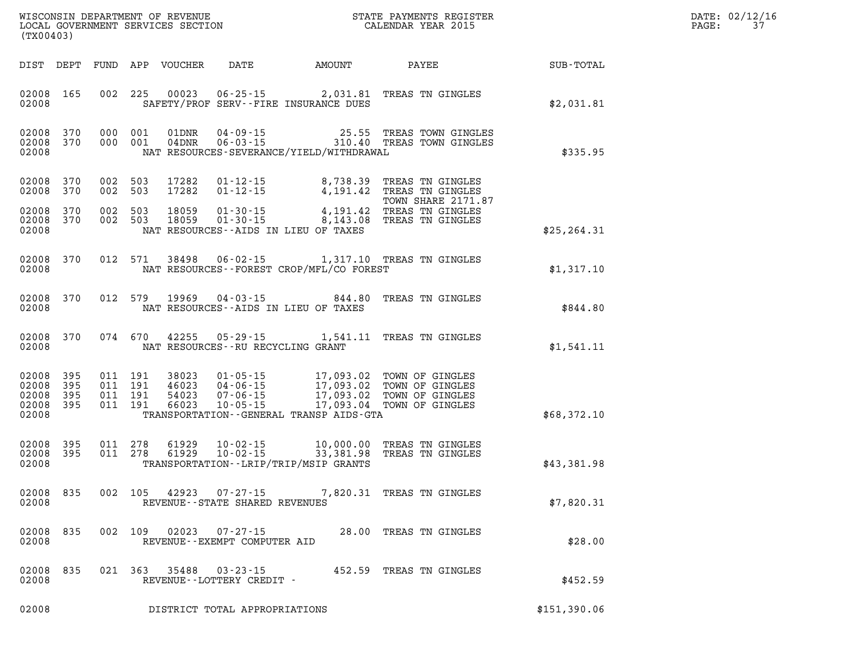| DATE: | 02/12/16 |
|-------|----------|
| PAGE: | 37       |

| (TX00403)                                                       |                                                                    | WISCONSIN DEPARTMENT OF REVENUE<br>LOCAL GOVERNMENT SERVICES SECTION TERMS CONFORMED BE CALENDAR YEAR 2015                                                   |                           | R            | DATE: 02/12/1<br>PAGE:<br>37 |
|-----------------------------------------------------------------|--------------------------------------------------------------------|--------------------------------------------------------------------------------------------------------------------------------------------------------------|---------------------------|--------------|------------------------------|
|                                                                 | DIST DEPT FUND APP VOUCHER                                         | DATE AMOUNT PAYEE SUB-TOTAL                                                                                                                                  |                           |              |                              |
| 02008 165<br>02008                                              |                                                                    | 002 225 00023 06-25-15 2,031.81 TREAS TN GINGLES<br>SAFETY/PROF SERV--FIRE INSURANCE DUES                                                                    |                           | \$2,031.81   |                              |
| 02008 370<br>02008 370<br>02008                                 |                                                                    | 000 001 01DNR 04-09-15 25.55 TREAS TOWN GINGLES<br>000 001 04DNR 06-03-15 310.40 TREAS TOWN GINGLES<br>NAT RESOURCES-SEVERANCE/YIELD/WITHDRAWAL              |                           | \$335.95     |                              |
| 02008<br>370<br>02008<br>370                                    | 002 503<br>002 503                                                 | 17282  01-12-15  8,738.39  TREAS TN GINGLES<br>17282  01-12-15  4,191.42  TREAS TN GINGLES                                                                   |                           |              |                              |
| 02008 370<br>02008 370<br>02008                                 |                                                                    | 18059  01-30-15<br>191.42  TREAS TN GINGLES<br>18059  01-30-15  8,143.08  TREAS TN GINGLES<br>NAT RESOURCES--AIDS IN LIEU OF TAXES                           | TOWN SHARE 2171.87        | \$25, 264.31 |                              |
| 02008 370<br>02008                                              |                                                                    | 012 571 38498 06-02-15 1,317.10 TREAS TN GINGLES<br>NAT RESOURCES - - FOREST CROP/MFL/CO FOREST                                                              |                           | \$1,317.10   |                              |
| 02008 370<br>02008                                              |                                                                    | 012 579 19969 04-03-15 844.80 TREAS TN GINGLES<br>NAT RESOURCES--AIDS IN LIEU OF TAXES                                                                       |                           | \$844.80     |                              |
| 02008 370<br>02008                                              | NAT RESOURCES--RU RECYCLING GRANT                                  | 074 670 42255 05-29-15 1,541.11 TREAS TN GINGLES                                                                                                             |                           | \$1,541.11   |                              |
| 02008<br>395<br>02008 395<br>02008<br>395<br>02008 395<br>02008 |                                                                    | TRANSPORTATION - - GENERAL TRANSP AIDS - GTA                                                                                                                 |                           | \$68,372.10  |                              |
| 02008 395<br>02008 395<br>02008                                 |                                                                    | 011  278  61929  10-02-15  10,000.00  TREAS TN GINGLES<br>011  278  61929  10-02-15  33,381.98  TREAS TN GINGLES<br>TRANSPORTATION - - LRIP/TRIP/MSIP GRANTS |                           | \$43,381.98  |                              |
| 02008 835<br>02008                                              | 002 105 42923<br>$07 - 27 - 15$<br>REVENUE--STATE SHARED REVENUES  |                                                                                                                                                              | 7,820.31 TREAS TN GINGLES | \$7,820.31   |                              |
| 835<br>02008<br>02008                                           | 002 109<br>02023<br>$07 - 27 - 15$<br>REVENUE--EXEMPT COMPUTER AID |                                                                                                                                                              | 28.00 TREAS TN GINGLES    | \$28.00      |                              |
| 02008<br>835<br>02008                                           | 35488<br>021 363<br>$03 - 23 - 15$<br>REVENUE--LOTTERY CREDIT -    |                                                                                                                                                              | 452.59 TREAS TN GINGLES   | \$452.59     |                              |
| 02008                                                           | DISTRICT TOTAL APPROPRIATIONS                                      |                                                                                                                                                              |                           | \$151,390.06 |                              |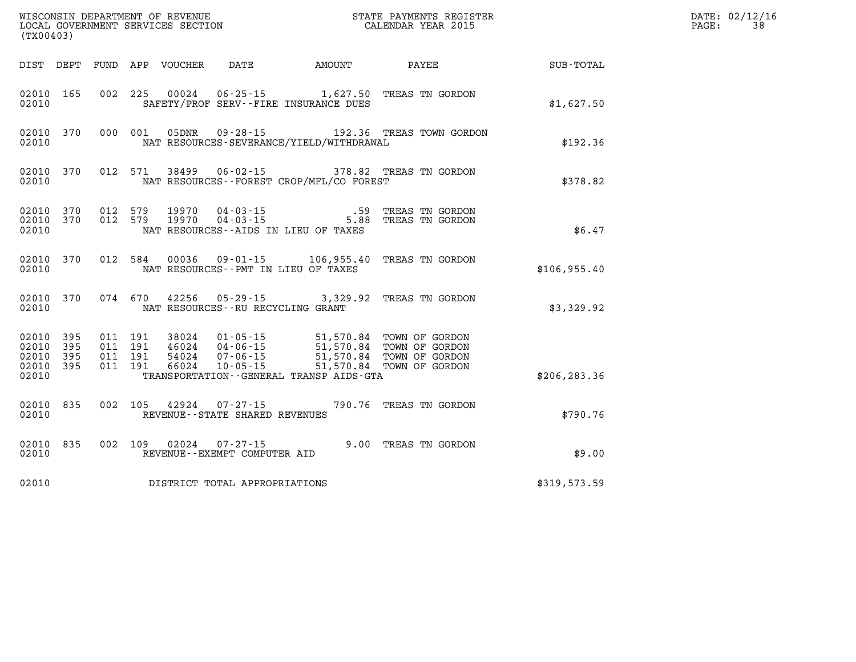| (TX00403)                                 |                          |                                          |         | WISCONSIN DEPARTMENT OF REVENUE<br>LOCAL GOVERNMENT SERVICES SECTION |                                                                      |                                                                        | STATE PAYMENTS REGISTER<br>CALENDAR YEAR 2015                                            |              | DATE: 02/12/16<br>38<br>PAGE: |
|-------------------------------------------|--------------------------|------------------------------------------|---------|----------------------------------------------------------------------|----------------------------------------------------------------------|------------------------------------------------------------------------|------------------------------------------------------------------------------------------|--------------|-------------------------------|
|                                           |                          |                                          |         | DIST DEPT FUND APP VOUCHER                                           | DATE                                                                 | AMOUNT                                                                 | PAYEE                                                                                    | SUB-TOTAL    |                               |
| 02010 165<br>02010                        |                          | 002                                      | 225     | 00024                                                                |                                                                      | $06 - 25 - 15$ 1,627.50<br>SAFETY/PROF SERV--FIRE INSURANCE DUES       | TREAS TN GORDON                                                                          | \$1,627.50   |                               |
| 02010 370<br>02010                        |                          |                                          | 000 001 | 05DNR                                                                |                                                                      | NAT RESOURCES-SEVERANCE/YIELD/WITHDRAWAL                               | 09-28-15 192.36 TREAS TOWN GORDON                                                        | \$192.36     |                               |
| 02010 370<br>02010                        |                          |                                          | 012 571 | 38499                                                                | 06-02-15                                                             | NAT RESOURCES - - FOREST CROP/MFL/CO FOREST                            | 378.82 TREAS TN GORDON                                                                   | \$378.82     |                               |
| 02010 370<br>02010                        | 02010 370                | 012 579<br>012 579                       |         | 19970<br>19970                                                       | 04 - 03 - 15<br>04 - 03 - 15                                         | NAT RESOURCES--AIDS IN LIEU OF TAXES                                   | .59 TREAS TN GORDON<br>5.88 TREAS TN GORDON                                              | \$6.47       |                               |
| 02010 370<br>02010                        |                          | 012 584                                  |         | 00036                                                                |                                                                      | 09-01-15 106,955.40<br>NAT RESOURCES - PMT IN LIEU OF TAXES            | TREAS TN GORDON                                                                          | \$106,955.40 |                               |
| 02010 370<br>02010                        |                          | 074 670                                  |         | 42256                                                                |                                                                      | $05 - 29 - 15$ 3, 329.92<br>NAT RESOURCES--RU RECYCLING GRANT          | TREAS TN GORDON                                                                          | \$3,329.92   |                               |
| 02010<br>02010<br>02010<br>02010<br>02010 | 395<br>395<br>395<br>395 | 011 191<br>011 191<br>011 191<br>011 191 |         | 38024<br>46024<br>54024<br>66024                                     | $01 - 05 - 15$<br>$04 - 06 - 15$<br>$07 - 06 - 15$<br>$10 - 05 - 15$ | 51,570.84<br>51,570.84<br>TRANSPORTATION - - GENERAL TRANSP AIDS - GTA | TOWN OF GORDON<br>TOWN OF GORDON<br>51,570.84 TOWN OF GORDON<br>51,570.84 TOWN OF GORDON | \$206,283.36 |                               |
| 02010 835<br>02010                        |                          | 002 105                                  |         | 42924                                                                | $07 - 27 - 15$<br>REVENUE - - STATE SHARED REVENUES                  |                                                                        | 790.76 TREAS TN GORDON                                                                   | \$790.76     |                               |
| 02010<br>02010                            | 835                      | 002 109                                  |         | 02024                                                                | $07 - 27 - 15$<br>REVENUE--EXEMPT COMPUTER AID                       |                                                                        | 9.00 TREAS TN GORDON                                                                     | \$9.00       |                               |
| 02010                                     |                          |                                          |         |                                                                      | DISTRICT TOTAL APPROPRIATIONS                                        |                                                                        |                                                                                          | \$319,573.59 |                               |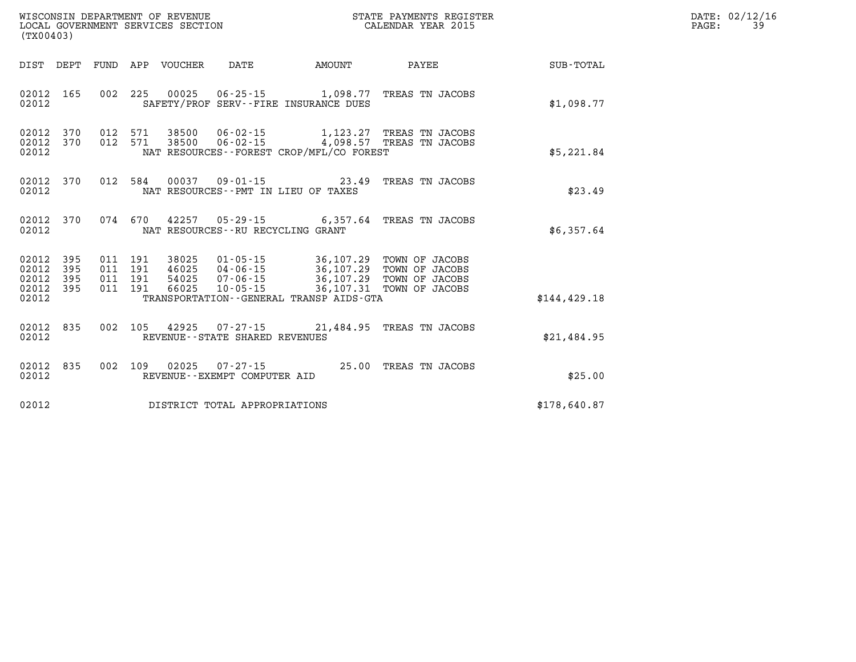| WISCONSIN DEPARTMENT OF REVENUE   | STATE PAYMENTS REGISTER | DATE: 02/12/16 |
|-----------------------------------|-------------------------|----------------|
| LOCAL GOVERNMENT SERVICES SECTION | CALENDAR YEAR 2015      | PAGE:          |

| LOCAL GOVERNMENT SERVICES SECTION<br>(TX00403)    |            |  |                                          |                                   |                                          | CALENDAR YEAR 2015                                                                                                                                                          |               | PAGE: | 39 |
|---------------------------------------------------|------------|--|------------------------------------------|-----------------------------------|------------------------------------------|-----------------------------------------------------------------------------------------------------------------------------------------------------------------------------|---------------|-------|----|
|                                                   |            |  |                                          |                                   |                                          | DIST DEPT FUND APP VOUCHER DATE      AMOUNT      PAYEE                                                                                                                      | SUB-TOTAL     |       |    |
| 02012 165<br>02012                                |            |  |                                          |                                   | SAFETY/PROF SERV--FIRE INSURANCE DUES    | 002 225 00025 06-25-15 1,098.77 TREAS TN JACOBS                                                                                                                             | \$1,098.77    |       |    |
| 02012 370<br>02012 370<br>02012                   |            |  |                                          |                                   | NAT RESOURCES--FOREST CROP/MFL/CO FOREST | 012 571 38500 06-02-15 1,123.27 TREAS TN JACOBS<br>012 571 38500 06-02-15 4,098.57 TREAS TN JACOBS                                                                          | \$5,221.84    |       |    |
| 02012 370<br>02012                                |            |  |                                          |                                   | NAT RESOURCES -- PMT IN LIEU OF TAXES    | 012 584 00037 09-01-15 23.49 TREAS TN JACOBS                                                                                                                                | \$23.49       |       |    |
| 02012 370<br>02012                                |            |  |                                          | NAT RESOURCES--RU RECYCLING GRANT |                                          | 074 670 42257 05-29-15 6,357.64 TREAS TN JACOBS                                                                                                                             | \$6,357.64    |       |    |
| 02012 395<br>02012<br>02012<br>02012 395<br>02012 | 395<br>395 |  | 011 191<br>011 191<br>011 191<br>011 191 |                                   | TRANSPORTATION--GENERAL TRANSP AIDS-GTA  | 38025  01-05-15  36,107.29  TOWN OF JACOBS<br>46025 04-06-15 36,107.29 TOWN OF JACOBS<br>54025 07-06-15 36,107.29 TOWN OF JACOBS<br>66025 10-05-15 36,107.31 TOWN OF JACOBS | \$144, 429.18 |       |    |
| 02012<br>02012                                    | 835        |  |                                          | REVENUE--STATE SHARED REVENUES    |                                          | 002 105 42925 07-27-15 21.484.95 TREAS TN JACOBS                                                                                                                            | \$21,484.95   |       |    |
| 02012<br>02012                                    | 835        |  |                                          | REVENUE--EXEMPT COMPUTER AID      |                                          | 002 109 02025 07-27-15 25.00 TREAS TN JACOBS                                                                                                                                | \$25.00       |       |    |
| 02012                                             |            |  |                                          | DISTRICT TOTAL APPROPRIATIONS     |                                          |                                                                                                                                                                             | \$178,640.87  |       |    |
|                                                   |            |  |                                          |                                   |                                          |                                                                                                                                                                             |               |       |    |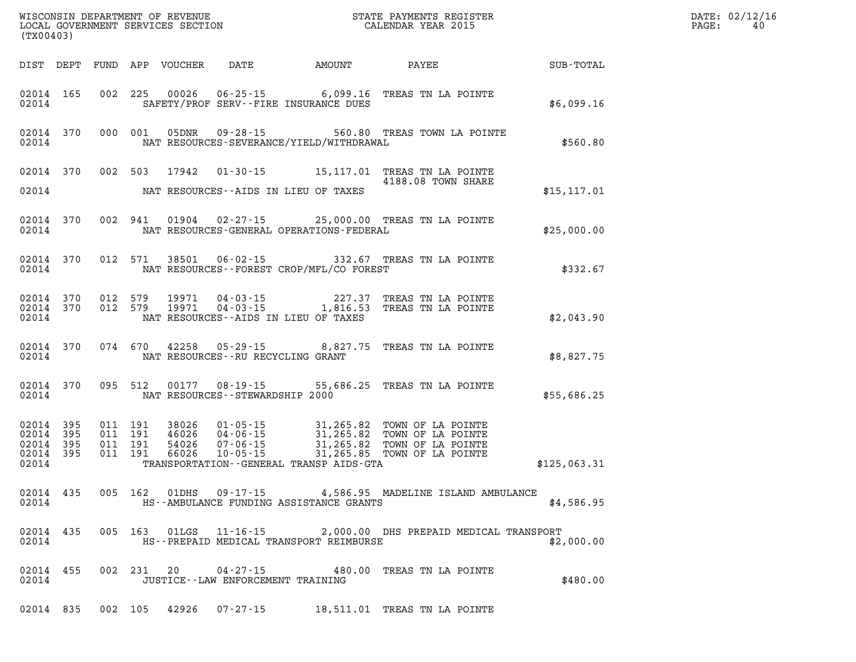| (TX00403)                                                 |                                                                                                                                                                                                                                     |                                                                                                                                                                                                                |              | DATE: 02/12/16<br>$\mathtt{PAGE:}$<br>40 |
|-----------------------------------------------------------|-------------------------------------------------------------------------------------------------------------------------------------------------------------------------------------------------------------------------------------|----------------------------------------------------------------------------------------------------------------------------------------------------------------------------------------------------------------|--------------|------------------------------------------|
|                                                           |                                                                                                                                                                                                                                     | DIST DEPT FUND APP VOUCHER DATE AMOUNT PAYEE SUB-TOTAL                                                                                                                                                         |              |                                          |
| 02014                                                     | SAFETY/PROF SERV--FIRE INSURANCE DUES                                                                                                                                                                                               | 02014 165 002 225 00026 06-25-15 6,099.16 TREAS TN LA POINTE                                                                                                                                                   | \$6,099.16   |                                          |
| 02014                                                     | NAT RESOURCES-SEVERANCE/YIELD/WITHDRAWAL                                                                                                                                                                                            | 02014 370 000 001 05DNR 09-28-15 560.80 TREAS TOWN LA POINTE                                                                                                                                                   | \$560.80     |                                          |
|                                                           | 02014 NAT RESOURCES--AIDS IN LIEU OF TAXES                                                                                                                                                                                          | 02014 370 002 503 17942 01-30-15 15,117.01 TREAS TN LA POINTE                                                                                                                                                  | \$15, 117.01 |                                          |
|                                                           | 02014 NAT RESOURCES-GENERAL OPERATIONS-FEDERAL                                                                                                                                                                                      | 02014 370 002 941 01904 02-27-15 25,000.00 TREAS TN LA POINTE                                                                                                                                                  | \$25,000.00  |                                          |
|                                                           | 02014 NAT RESOURCES--FOREST CROP/MFL/CO FOREST                                                                                                                                                                                      | 02014 370 012 571 38501 06-02-15 332.67 TREAS TN LA POINTE                                                                                                                                                     | \$332.67     |                                          |
| 02014                                                     | NAT RESOURCES--AIDS IN LIEU OF TAXES                                                                                                                                                                                                | $\begin{array}{cccccccc} 02014 & 370 & 012 & 579 & 19971 & 04-03-15 & & 227.37 & \text{TREAS TN LA POINTE} \\ 02014 & 370 & 012 & 579 & 19971 & 04-03-15 & & 1,816.53 & \text{TREAS TN LA POINTE} \end{array}$ | \$2,043.90   |                                          |
|                                                           | 02014 NAT RESOURCES--RU RECYCLING GRANT                                                                                                                                                                                             | 02014 370 074 670 42258 05-29-15 8,827.75 TREAS TN LA POINTE                                                                                                                                                   | \$8,827.75   |                                          |
|                                                           | 02014 NAT RESOURCES--STEWARDSHIP 2000                                                                                                                                                                                               | 02014 370 095 512 00177 08-19-15 55,686.25 TREAS TN LA POINTE                                                                                                                                                  | \$55,686.25  |                                          |
| 02014 395<br>02014 395<br>02014 395<br>02014 395<br>02014 | 011 191 38026 01-05-15 31,265.82 TOWN OF LA POINTE<br>011 191 46026 04-06-15 31,265.82 TOWN OF LA POINTE<br>011 191 54026 07-06-15 31,265.82 TOWN OF LA POINTE<br>011 191 66026 10-05-15<br>TRANSPORTATION--GENERAL TRANSP AIDS-GTA |                                                                                                                                                                                                                | \$125,063.31 |                                          |
| 02014                                                     | HS--AMBULANCE FUNDING ASSISTANCE GRANTS                                                                                                                                                                                             | 02014 435 005 162 01DHS 09-17-15 4,586.95 MADELINE ISLAND AMBULANCE                                                                                                                                            | \$4,586.95   |                                          |
| 02014 435<br>02014                                        | HS--PREPAID MEDICAL TRANSPORT REIMBURSE                                                                                                                                                                                             | 005 163 01LGS 11-16-15 2,000.00 DHS PREPAID MEDICAL TRANSPORT                                                                                                                                                  | \$2,000.00   |                                          |
| 02014 455<br>02014                                        | JUSTICE -- LAW ENFORCEMENT TRAINING                                                                                                                                                                                                 | 002 231 20 04-27-15 480.00 TREAS TN LA POINTE                                                                                                                                                                  | \$480.00     |                                          |
|                                                           |                                                                                                                                                                                                                                     | 02014 835 002 105 42926 07-27-15 18,511.01 TREAS TN LA POINTE                                                                                                                                                  |              |                                          |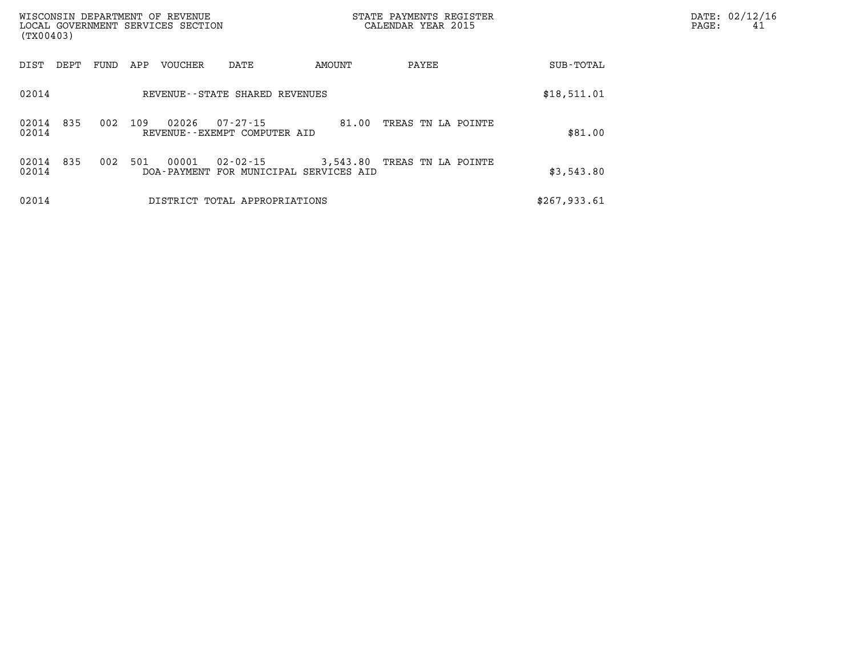| WISCONSIN DEPARTMENT OF REVENUE<br>LOCAL GOVERNMENT SERVICES SECTION<br>(TX00403) |            |     |                                   |                                                |          | STATE PAYMENTS REGISTER<br>CALENDAR YEAR 2015 |              |         | PAGE: | DATE: 02/12/16<br>41 |
|-----------------------------------------------------------------------------------|------------|-----|-----------------------------------|------------------------------------------------|----------|-----------------------------------------------|--------------|---------|-------|----------------------|
| DIST<br>DEPT                                                                      | FUND       | APP | <b>VOUCHER</b>                    | DATE                                           | AMOUNT   | PAYEE                                         | SUB-TOTAL    |         |       |                      |
| 02014                                                                             |            |     | REVENUE - - STATE SHARED REVENUES | \$18,511.01                                    |          |                                               |              |         |       |                      |
| 02014<br>02014                                                                    | 835<br>002 | 109 | 02026                             | $07 - 27 - 15$<br>REVENUE--EXEMPT COMPUTER AID | 81.00    | TREAS TN LA POINTE                            |              | \$81.00 |       |                      |
| 02014<br>02014                                                                    | 835<br>002 | 501 | 00001<br>DOA - PAYMENT            | 02-02-15<br>FOR MUNICIPAL SERVICES AID         | 3,543.80 | TREAS TN LA POINTE                            | \$3,543.80   |         |       |                      |
| 02014                                                                             |            |     |                                   | DISTRICT TOTAL APPROPRIATIONS                  |          |                                               | \$267,933.61 |         |       |                      |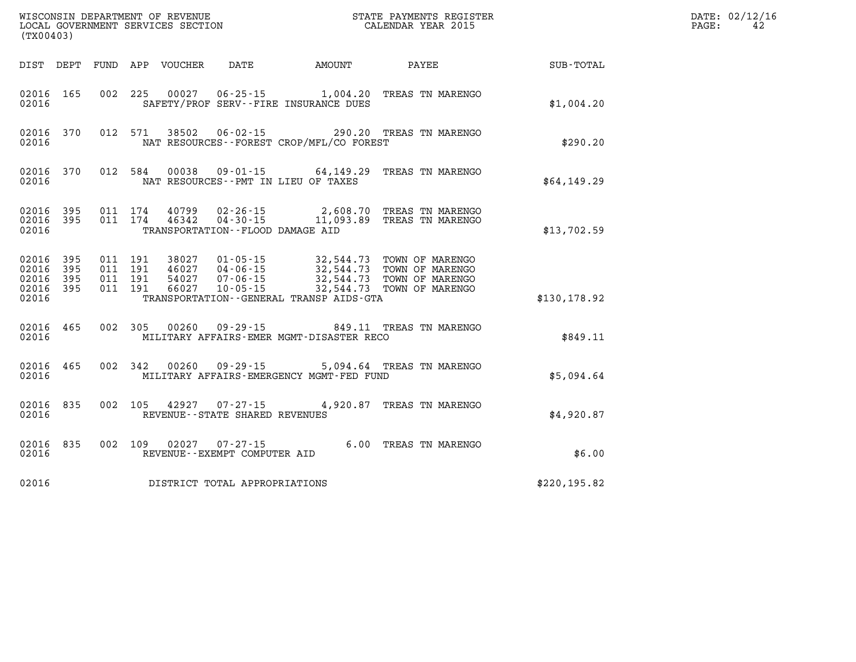|                                                       | STATE PAYMENTS REGISTER<br>CALENDAR YEAR 2015<br>WISCONSIN DEPARTMENT OF REVENUE<br>LOCAL GOVERNMENT SERVICES SECTION<br>(TX00403) |                                          |         |                                  |                                                          |                                          |                                                                                                                  |               | DATE: 02/12/16<br>PAGE:<br>42 |
|-------------------------------------------------------|------------------------------------------------------------------------------------------------------------------------------------|------------------------------------------|---------|----------------------------------|----------------------------------------------------------|------------------------------------------|------------------------------------------------------------------------------------------------------------------|---------------|-------------------------------|
|                                                       |                                                                                                                                    |                                          |         | DIST DEPT FUND APP VOUCHER       | DATE                                                     | AMOUNT                                   | PAYEE                                                                                                            | SUB-TOTAL     |                               |
| 02016 165<br>02016                                    |                                                                                                                                    | 002                                      | 225     | 00027                            |                                                          | SAFETY/PROF SERV--FIRE INSURANCE DUES    | 06-25-15 1,004.20 TREAS TN MARENGO                                                                               | \$1,004.20    |                               |
| 02016 370<br>02016                                    |                                                                                                                                    |                                          | 012 571 |                                  |                                                          | NAT RESOURCES--FOREST CROP/MFL/CO FOREST | 38502  06-02-15  290.20  TREAS TN MARENGO                                                                        | \$290.20      |                               |
| 02016 370<br>02016                                    |                                                                                                                                    | 012 584                                  |         | 00038                            |                                                          | NAT RESOURCES - PMT IN LIEU OF TAXES     | 09-01-15 64,149.29 TREAS TN MARENGO                                                                              | \$64,149.29   |                               |
| 02016 395<br>02016                                    | 02016 395                                                                                                                          | 011 174<br>011 174                       |         | 40799<br>46342                   | 02-26-15                                                 | TRANSPORTATION - - FLOOD DAMAGE AID      | 2,608.70 TREAS TN MARENGO<br>04-30-15 11,093.89 TREAS TN MARENGO                                                 | \$13,702.59   |                               |
| 02016 395<br>02016<br>02016 395<br>02016 395<br>02016 | 395                                                                                                                                | 011 191<br>011 191<br>011 191<br>011 191 |         | 38027<br>46027<br>54027<br>66027 | $01 - 05 - 15$<br>04-06-15<br>07-06-15<br>$10 - 05 - 15$ | TRANSPORTATION--GENERAL TRANSP AIDS-GTA  | 32,544.73 TOWN OF MARENGO<br>32,544.73 TOWN OF MARENGO<br>32,544.73 TOWN OF MARENGO<br>32,544.73 TOWN OF MARENGO | \$130,178.92  |                               |
| 02016 465<br>02016                                    |                                                                                                                                    | 002 305                                  |         | 00260                            | 09 - 29 - 15                                             | MILITARY AFFAIRS-EMER MGMT-DISASTER RECO | 849.11 TREAS TN MARENGO                                                                                          | \$849.11      |                               |
| 02016 465<br>02016                                    |                                                                                                                                    | 002 342                                  |         | 00260                            | 09 - 29 - 15                                             | MILITARY AFFAIRS-EMERGENCY MGMT-FED FUND | 5,094.64 TREAS TN MARENGO                                                                                        | \$5,094.64    |                               |
| 02016 835<br>02016                                    |                                                                                                                                    | 002 105                                  |         |                                  | 42927 07-27-15<br>REVENUE--STATE SHARED REVENUES         |                                          | 4,920.87 TREAS TN MARENGO                                                                                        | \$4,920.87    |                               |
| 02016 835<br>02016                                    |                                                                                                                                    | 002 109                                  |         |                                  | $02027$ $07 - 27 - 15$<br>REVENUE--EXEMPT COMPUTER AID   |                                          | 6.00 TREAS TN MARENGO                                                                                            | \$6.00        |                               |
| 02016                                                 |                                                                                                                                    |                                          |         |                                  | DISTRICT TOTAL APPROPRIATIONS                            |                                          |                                                                                                                  | \$220, 195.82 |                               |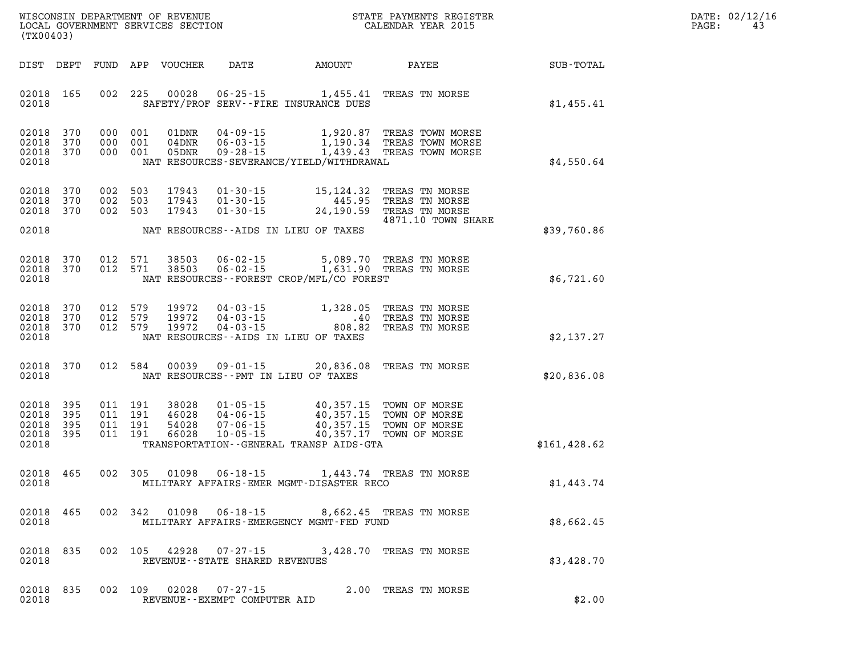|                   | DATE: 02/12/16 |
|-------------------|----------------|
| $\mathtt{PAGE}$ : | 43             |

|                                           | LOCAL GOVERNMENT SERVICES SECTION<br>(TX00403) |     |                                      |                                  |                                                                      | CALENDAR YEAR 2015                                                                         |                                                                                                          |               | PAGE: | 43 |
|-------------------------------------------|------------------------------------------------|-----|--------------------------------------|----------------------------------|----------------------------------------------------------------------|--------------------------------------------------------------------------------------------|----------------------------------------------------------------------------------------------------------|---------------|-------|----|
| DIST DEPT                                 |                                                |     |                                      | FUND APP VOUCHER                 |                                                                      |                                                                                            | DATE AMOUNT PAYEE SUB-TOTAL                                                                              |               |       |    |
| 02018<br>02018                            | 165                                            |     | 002 225                              | 00028                            |                                                                      | 06-25-15 1,455.41 TREAS TN MORSE<br>SAFETY/PROF SERV--FIRE INSURANCE DUES                  |                                                                                                          | \$1,455.41    |       |    |
| 02018<br>02018<br>02018<br>02018          | 370<br>370<br>370                              |     | 000 001<br>000 001<br>000 001        | 01DNR<br>05DNR                   | $04 - 09 - 15$<br>$09 - 28 - 15$                                     | NAT RESOURCES-SEVERANCE/YIELD/WITHDRAWAL                                                   | 1,920.87 TREAS TOWN MORSE<br>1,190.34 TREAS TOWN MORSE<br>1,439.43 TREAS TOWN MORSE                      | \$4,550.64    |       |    |
| 02018<br>02018<br>02018                   | 370<br>370<br>370                              |     | 002 503<br>002 503<br>002 503        | 17943<br>17943<br>17943          | $01 - 30 - 15$<br>$01 - 30 - 15$<br>$01 - 30 - 15$                   |                                                                                            | 15,124.32 TREAS TN MORSE<br>445.95 TREAS TN MORSE<br>24,190.59 TREAS TN MORSE<br>4871.10 TOWN SHARE      |               |       |    |
| 02018                                     |                                                |     |                                      |                                  |                                                                      | NAT RESOURCES--AIDS IN LIEU OF TAXES                                                       |                                                                                                          | \$39,760.86   |       |    |
| 02018<br>02018<br>02018                   | 370<br>370                                     |     | 012 571<br>012 571                   | 38503<br>38503                   | $06 - 02 - 15$                                                       | 06-02-15 1,631.90 TREAS TN MORSE<br>NAT RESOURCES - - FOREST CROP/MFL/CO FOREST            | 5,089.70 TREAS TN MORSE                                                                                  | \$6,721.60    |       |    |
| 02018<br>02018<br>02018<br>02018          | 370<br>370<br>370                              |     | 012 579<br>012 579<br>012 579        | 19972<br>19972<br>19972          | $04 - 03 - 15$<br>$04 - 03 - 15$<br>$04 - 03 - 15$                   | 1,328.05<br>.40<br>808.82<br>NAT RESOURCES -- AIDS IN LIEU OF TAXES                        | TREAS TN MORSE<br>TREAS TN MORSE<br>TREAS TN MORSE                                                       | \$2,137.27    |       |    |
| 02018<br>02018                            | 370                                            |     | 012 584                              | 00039                            | $09 - 01 - 15$                                                       | 20,836.08 TREAS TN MORSE<br>NAT RESOURCES -- PMT IN LIEU OF TAXES                          |                                                                                                          | \$20,836.08   |       |    |
| 02018<br>02018<br>02018<br>02018<br>02018 | 395<br>395<br>395<br>395                       | 011 | 011 191<br>011 191<br>191<br>011 191 | 38028<br>46028<br>54028<br>66028 | $01 - 05 - 15$<br>$04 - 06 - 15$<br>$07 - 06 - 15$<br>$10 - 05 - 15$ | TRANSPORTATION - - GENERAL TRANSP AIDS - GTA                                               | 40,357.15 TOWN OF MORSE<br>40,357.15 TOWN OF MORSE<br>40,357.15 TOWN OF MORSE<br>40,357.17 TOWN OF MORSE | \$161, 428.62 |       |    |
| 02018<br>02018                            | 465                                            |     | 002 305                              | 01098                            | $06 - 18 - 15$                                                       | MILITARY AFFAIRS-EMER MGMT-DISASTER RECO                                                   | 1,443.74 TREAS TN MORSE                                                                                  | \$1,443.74    |       |    |
| 02018 465<br>02018                        |                                                |     |                                      |                                  |                                                                      | 002 342 01098 06-18-15 8,662.45 TREAS TN MORSE<br>MILITARY AFFAIRS-EMERGENCY MGMT-FED FUND |                                                                                                          | \$8,662.45    |       |    |
| 02018<br>02018                            | 835                                            |     |                                      |                                  | REVENUE--STATE SHARED REVENUES                                       | 002 105 42928 07-27-15 3,428.70 TREAS TN MORSE                                             |                                                                                                          | \$3,428.70    |       |    |
| 02018 835<br>02018                        |                                                |     |                                      |                                  | 002 109 02028 07-27-15<br>REVENUE - - EXEMPT COMPUTER AID            |                                                                                            | 2.00 TREAS TN MORSE                                                                                      | \$2.00        |       |    |

WISCONSIN DEPARTMENT OF REVENUE **STATE PAYMENTS REGISTER**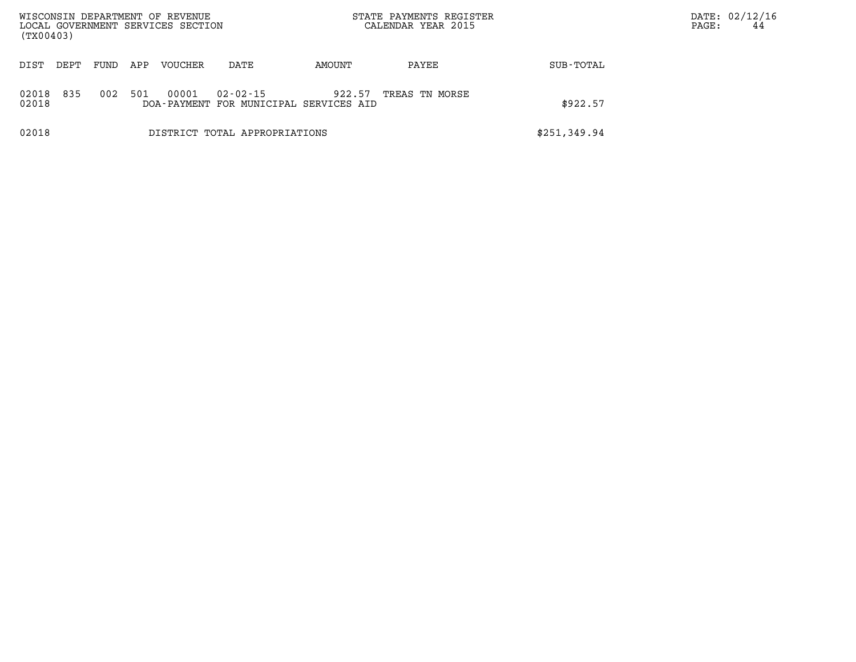| WISCONSIN DEPARTMENT OF REVENUE<br>LOCAL GOVERNMENT SERVICES SECTION<br>(TX00403) |      |      |     |                |                                                    | STATE PAYMENTS REGISTER<br>CALENDAR YEAR 2015 |                |              | DATE: 02/12/16<br>PAGE: | 44 |
|-----------------------------------------------------------------------------------|------|------|-----|----------------|----------------------------------------------------|-----------------------------------------------|----------------|--------------|-------------------------|----|
| DIST                                                                              | DEPT | FUND | APP | <b>VOUCHER</b> | DATE                                               | AMOUNT                                        | PAYEE          | SUB-TOTAL    |                         |    |
| 02018<br>02018                                                                    | 835  | 002  | 501 | 00001          | 02-02-15<br>DOA-PAYMENT FOR MUNICIPAL SERVICES AID | 922.57                                        | TREAS TN MORSE | \$922.57     |                         |    |
| 02018                                                                             |      |      |     |                | DISTRICT TOTAL APPROPRIATIONS                      |                                               |                | \$251,349.94 |                         |    |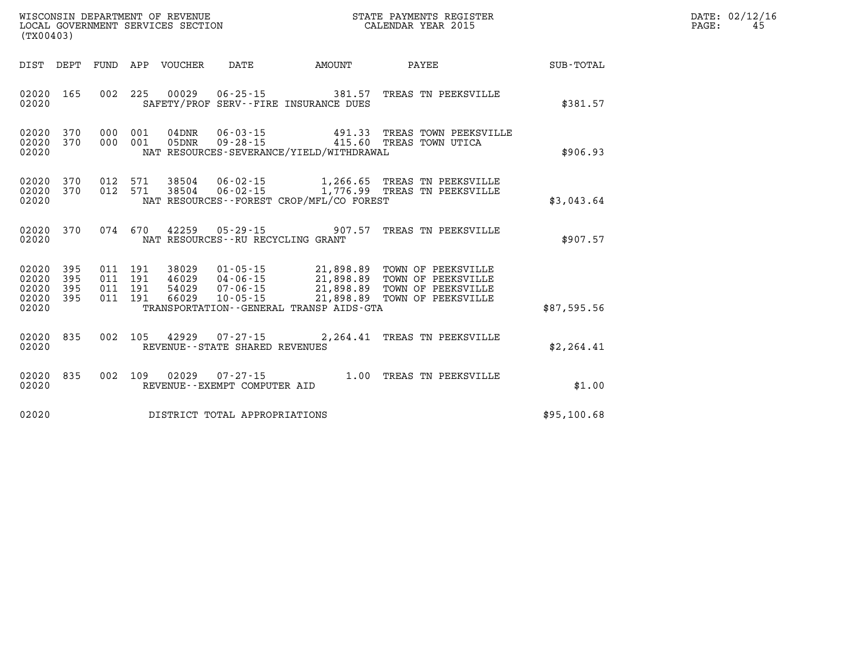| DATE: 02/12/16<br>45. |
|-----------------------|
|                       |

| DIST<br>DEPT                                                          | FUND                     | APP<br><b>VOUCHER</b>                                        | DATE                                                                 | AMOUNT                                                                                      | PAYEE                                                                                | <b>SUB-TOTAL</b> |
|-----------------------------------------------------------------------|--------------------------|--------------------------------------------------------------|----------------------------------------------------------------------|---------------------------------------------------------------------------------------------|--------------------------------------------------------------------------------------|------------------|
| 02020<br>165<br>02020                                                 | 002                      | 225<br>00029<br>SAFETY/PROF                                  | $06 - 25 - 15$                                                       | 381.57<br>SERV--FIRE INSURANCE DUES                                                         | TREAS TN PEEKSVILLE                                                                  | \$381.57         |
| 02020<br>370<br>370<br>02020<br>02020                                 | 000<br>000               | 001<br>$04$ DNR<br>001<br>05DNR                              | $06 - 03 - 15$<br>$09 - 28 - 15$                                     | 491.33<br>415.60<br>NAT RESOURCES-SEVERANCE/YIELD/WITHDRAWAL                                | TREAS TOWN PEEKSVILLE<br>TREAS TOWN UTICA                                            | \$906.93         |
| 02020<br>370<br>02020<br>370<br>02020                                 | 012<br>012               | 571<br>38504<br>571<br>38504                                 | $06 - 02 - 15$<br>$06 - 02 - 15$                                     | 1,266.65<br>1,776.99<br>NAT RESOURCES - - FOREST CROP/MFL/CO FOREST                         | TREAS TN PEEKSVILLE<br>TREAS TN PEEKSVILLE                                           | \$3,043.64       |
| 02020<br>370<br>02020                                                 | 074                      | 670<br>42259                                                 | $05 - 29 - 15$<br>NAT RESOURCES - - RU RECYCLING GRANT               | 907.57                                                                                      | TREAS TN PEEKSVILLE                                                                  | \$907.57         |
| 02020<br>395<br>02020<br>395<br>02020<br>395<br>02020<br>395<br>02020 | 011<br>011<br>011<br>011 | 191<br>38029<br>191<br>46029<br>191<br>54029<br>191<br>66029 | $01 - 05 - 15$<br>$04 - 06 - 15$<br>$07 - 06 - 15$<br>$10 - 05 - 15$ | 21,898.89<br>21,898.89<br>21,898.89<br>21,898.89<br>TRANSPORTATION--GENERAL TRANSP AIDS-GTA | TOWN OF PEEKSVILLE<br>TOWN OF PEEKSVILLE<br>TOWN OF PEEKSVILLE<br>TOWN OF PEEKSVILLE | \$87,595.56      |
| 835<br>02020<br>02020                                                 | 002                      | 105<br>42929                                                 | $07 - 27 - 15$<br>REVENUE - - STATE SHARED REVENUES                  | 2,264.41                                                                                    | TREAS TN PEEKSVILLE                                                                  | \$2, 264.41      |
| 02020<br>835<br>02020                                                 | 002                      | 109<br>02029                                                 | $07 - 27 - 15$<br>REVENUE--EXEMPT COMPUTER AID                       | 1.00                                                                                        | TREAS TN PEEKSVILLE                                                                  | \$1.00           |
| 02020                                                                 |                          |                                                              | DISTRICT TOTAL APPROPRIATIONS                                        |                                                                                             |                                                                                      | \$95,100.68      |

WISCONSIN DEPARTMENT OF REVENUE **STATE PAYMENTS REGISTER**<br>LOCAL GOVERNMENT SERVICES SECTION

LOCAL GOVERNMENT SERVICES SECTION

**(TX00403)**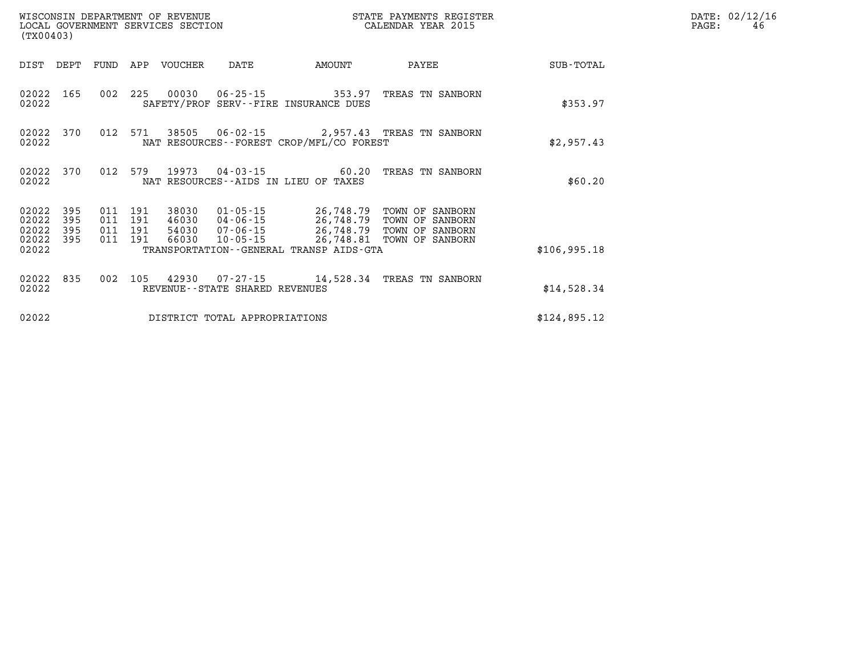| (TX00403)                                |            |                                          | WISCONSIN DEPARTMENT OF REVENUE | LOCAL GOVERNMENT SERVICES SECTION |                                              | STATE PAYMENTS REGISTER<br>CALENDAR YEAR 2015                                                                                                                             |              | DATE: 02/12/16<br>PAGE:<br>46 |
|------------------------------------------|------------|------------------------------------------|---------------------------------|-----------------------------------|----------------------------------------------|---------------------------------------------------------------------------------------------------------------------------------------------------------------------------|--------------|-------------------------------|
|                                          |            |                                          | DIST DEPT FUND APP VOUCHER      | DATE                              | AMOUNT                                       | PAYEE                                                                                                                                                                     | SUB-TOTAL    |                               |
| 02022                                    | 02022 165  |                                          |                                 |                                   | SAFETY/PROF SERV--FIRE INSURANCE DUES        | 002 225 00030 06-25-15 353.97 TREAS TN SANBORN                                                                                                                            | \$353.97     |                               |
| 02022                                    |            | 02022 370 012 571                        |                                 |                                   | NAT RESOURCES--FOREST CROP/MFL/CO FOREST     | 38505  06-02-15  2,957.43  TREAS TN SANBORN                                                                                                                               | \$2,957.43   |                               |
| 02022 370<br>02022                       |            | 012 579                                  |                                 |                                   | NAT RESOURCES--AIDS IN LIEU OF TAXES         | 19973  04-03-15  60.20  TREAS TN SANBORN                                                                                                                                  | \$60.20      |                               |
| 02022 395<br>02022<br>02022<br>02022 395 | 395<br>395 | 011 191<br>011 191<br>011 191<br>011 191 | 66030                           |                                   |                                              | 38030  01-05-15  26,748.79  TOWN OF SANBORN<br>46030 04-06-15 26,748.79 TOWN OF SANBORN<br>54030 07-06-15 26,748.79 TOWN OF SANBORN<br>10-05-15 26,748.81 TOWN OF SANBORN |              |                               |
| 02022                                    |            |                                          |                                 |                                   | TRANSPORTATION - - GENERAL TRANSP AIDS - GTA |                                                                                                                                                                           | \$106,995.18 |                               |
| 02022 835<br>02022                       |            |                                          |                                 | REVENUE--STATE SHARED REVENUES    |                                              | 002 105 42930 07-27-15 14,528.34 TREAS TN SANBORN                                                                                                                         | \$14,528.34  |                               |
| 02022                                    |            |                                          |                                 | DISTRICT TOTAL APPROPRIATIONS     |                                              |                                                                                                                                                                           | \$124,895.12 |                               |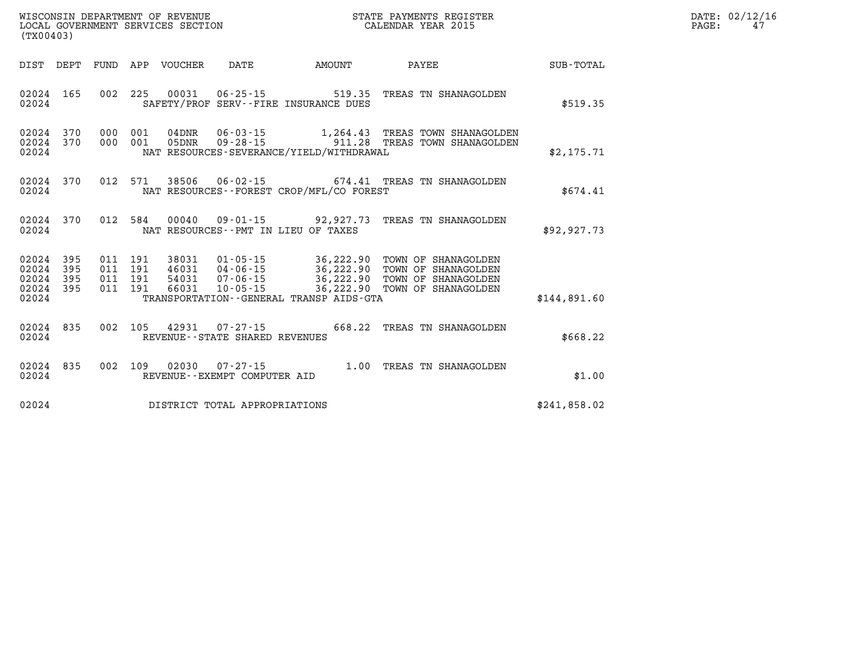| WISCONSIN DEPARTMENT OF REVENUE   | STATE PAYMENTS REGISTER | DATE: | : 02/12/16 |
|-----------------------------------|-------------------------|-------|------------|
| LOCAL GOVERNMENT SERVICES SECTION | CALENDAR YEAR 2015      | PAGE  |            |

|                                                                       |                                                                                                                                                                                                                                                                          | $\texttt{SUB-TOTAL}$ |  |
|-----------------------------------------------------------------------|--------------------------------------------------------------------------------------------------------------------------------------------------------------------------------------------------------------------------------------------------------------------------|----------------------|--|
| 02024 165<br>02024                                                    | 002 225 00031 06-25-15 519.35 TREAS TN SHANAGOLDEN<br>SAFETY/PROF SERV--FIRE INSURANCE DUES                                                                                                                                                                              | \$519.35             |  |
| 02024 370<br>02024 370<br>02024                                       | $\begin{array}{cccc} 000 & 001 & 04\text{DNR} & 06\text{-}03\text{-}15 & 1,264.43 & \text{TREAS TOWN SHANAGOLDEN} \\ 000 & 001 & 05\text{DNR} & 09\text{-}28\text{-}15 & 911.28 & \text{TREAS TOWN SHANAGOLDEN} \end{array}$<br>NAT RESOURCES-SEVERANCE/YIELD/WITHDRAWAL | \$2,175.71           |  |
| 02024 370 012 571 38506 06-02-15 674.41 TREAS TN SHANAGOLDEN<br>02024 | NAT RESOURCES--FOREST CROP/MFL/CO FOREST                                                                                                                                                                                                                                 | \$674.41             |  |
| 02024 370<br>02024                                                    | 012 584 00040 09-01-15 92,927.73 TREAS TN SHANAGOLDEN<br>NAT RESOURCES--PMT IN LIEU OF TAXES                                                                                                                                                                             | \$92, 927.73         |  |
| 02024 395<br>02024 395<br>02024 395<br>02024 395<br>02024             | 011 191 38031 01-05-15 36,222.90 TOWN OF SHANAGOLDEN<br>011 191 46031 04-06-15 36,222.90 TOWN OF SHANAGOLDEN<br>011 191 54031 07-06-15 36,222.90 TOWN OF SHANAGOLDEN<br>011 191 66031 10-05-15 36,222.90 TOWN OF SHANAGOLDEN<br>TRANSPORTATION--GENERAL TRANSP AIDS-GTA  | \$144,891.60         |  |
| 02024 835<br>02024                                                    | 002 105 42931 07-27-15 668.22 TREAS TN SHANAGOLDEN<br>REVENUE--STATE SHARED REVENUES                                                                                                                                                                                     | \$668.22             |  |
| 02024 835<br>02024                                                    | 002 109 02030 07-27-15 1.00 TREAS TN SHANAGOLDEN<br>REVENUE--EXEMPT COMPUTER AID                                                                                                                                                                                         | \$1.00               |  |
| 02024 DISTRICT TOTAL APPROPRIATIONS                                   |                                                                                                                                                                                                                                                                          | \$241,858.02         |  |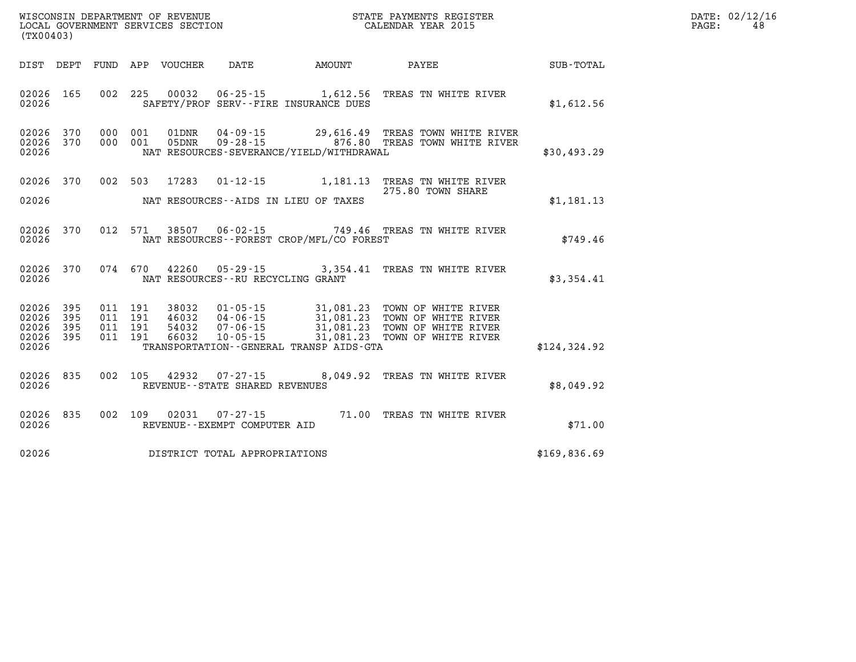| WISCONSIN DEPARTMENT OF REVENUE   | STATE PAYMENTS REGISTER | DATE: | : 02/12/16 |
|-----------------------------------|-------------------------|-------|------------|
| LOCAL GOVERNMENT SERVICES SECTION | CALENDAR YEAR 2015      | PAGE. |            |

| $\begin{array}{ll}\n\text{LOCAL} & \text{GOVERIMENT} & \text{SERVICES} & \text{SECTION} \\ \text{CALENDAR} & \text{YEAR} & \text{2015}\n\end{array}$<br>(TX00403) |                                 |  |  |  |                                     |                                          |                                                                                                                                                                                                                              |              | PAGE: | 48 |
|-------------------------------------------------------------------------------------------------------------------------------------------------------------------|---------------------------------|--|--|--|-------------------------------------|------------------------------------------|------------------------------------------------------------------------------------------------------------------------------------------------------------------------------------------------------------------------------|--------------|-------|----|
|                                                                                                                                                                   |                                 |  |  |  |                                     |                                          | DIST DEPT FUND APP VOUCHER DATE AMOUNT PAYEE PATE SUB-TOTAL                                                                                                                                                                  |              |       |    |
| 02026                                                                                                                                                             | 02026 165                       |  |  |  |                                     | SAFETY/PROF SERV--FIRE INSURANCE DUES    | 002 225 00032 06-25-15 1,612.56 TREAS TN WHITE RIVER                                                                                                                                                                         | \$1,612.56   |       |    |
|                                                                                                                                                                   | 02026 370<br>02026 370<br>02026 |  |  |  |                                     | NAT RESOURCES-SEVERANCE/YIELD/WITHDRAWAL | 000 001 01DNR 04-09-15 29,616.49 TREAS TOWN WHITE RIVER<br>000 001 05DNR 09-28-15 29,616.80 TREAS TOWN WHITE RIVER                                                                                                           | \$30,493.29  |       |    |
|                                                                                                                                                                   |                                 |  |  |  |                                     |                                          | 02026 370 002 503 17283 01-12-15 1,181.13 TREAS TN WHITE RIVER<br>275.80 TOWN SHARE                                                                                                                                          | \$1,181.13   |       |    |
| 02026                                                                                                                                                             | 02026 370                       |  |  |  |                                     | NAT RESOURCES--FOREST CROP/MFL/CO FOREST | 012 571 38507 06-02-15 749.46 TREAS TN WHITE RIVER                                                                                                                                                                           | \$749.46     |       |    |
| 02026                                                                                                                                                             |                                 |  |  |  |                                     | NAT RESOURCES--RU RECYCLING GRANT        | 02026 370 074 670 42260 05-29-15 3,354.41 TREAS TN WHITE RIVER                                                                                                                                                               | \$3,354.41   |       |    |
| 02026 395<br>02026<br>02026 395<br>02026                                                                                                                          | 395<br>02026 395                |  |  |  |                                     | TRANSPORTATION--GENERAL TRANSP AIDS-GTA  | 011 191 38032 01-05-15 31,081.23 TOWN OF WHITE RIVER<br>011 191 46032 04-06-15 31,081.23 TOWN OF WHITE RIVER<br>011 191 54032 07-06-15 31,081.23 TOWN OF WHITE RIVER<br>011 191 66032 10-05-15 31,081.23 TOWN OF WHITE RIVER | \$124,324.92 |       |    |
|                                                                                                                                                                   | 02026 835                       |  |  |  |                                     |                                          | 002 105 42932 07-27-15 8,049.92 TREAS TN WHITE RIVER                                                                                                                                                                         | \$8,049.92   |       |    |
|                                                                                                                                                                   |                                 |  |  |  |                                     |                                          | 02026 835 002 109 02031 07-27-15 71.00 TREAS TN WHITE RIVER 02026 REVENUE--EXEMPT COMPUTER AID                                                                                                                               | \$71.00      |       |    |
|                                                                                                                                                                   |                                 |  |  |  | 02026 DISTRICT TOTAL APPROPRIATIONS |                                          |                                                                                                                                                                                                                              | \$169,836.69 |       |    |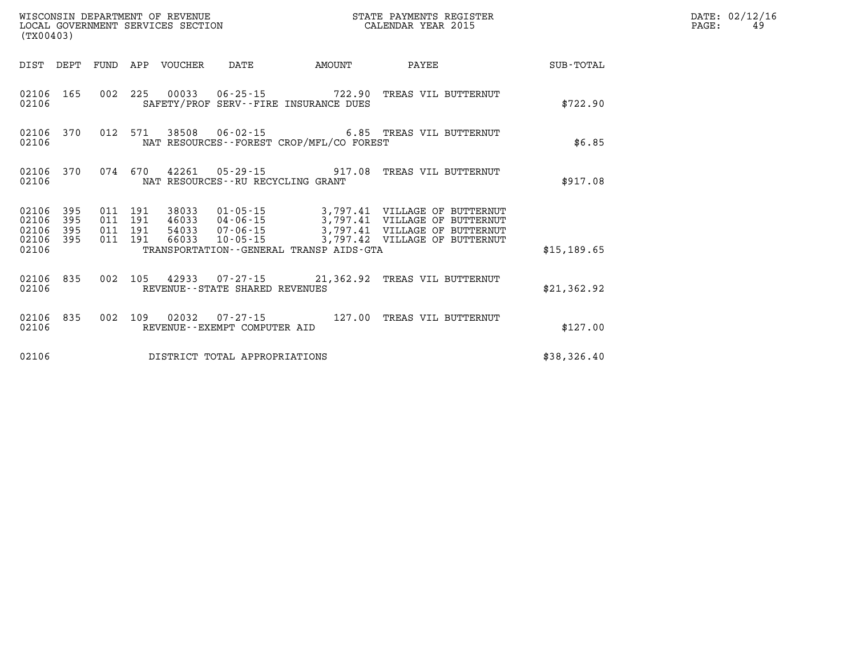| WISCONSIN DEPARTMENT OF REVENUE<br>LOCAL GOVERNMENT SERVICES SECTION<br>(TX00403) |                   |                               |         |                                 |                                   |                                              | STATE PAYMENTS REGISTER<br>CALENDAR YEAR 2015                                                                                                      |             | DATE: 02/12/16<br>PAGE:<br>49 |
|-----------------------------------------------------------------------------------|-------------------|-------------------------------|---------|---------------------------------|-----------------------------------|----------------------------------------------|----------------------------------------------------------------------------------------------------------------------------------------------------|-------------|-------------------------------|
|                                                                                   |                   |                               |         | DIST DEPT FUND APP VOUCHER DATE |                                   | <b>AMOUNT</b>                                | PAYEE                                                                                                                                              | SUB-TOTAL   |                               |
| 02106                                                                             |                   |                               |         |                                 |                                   | SAFETY/PROF SERV--FIRE INSURANCE DUES        | 02106 165 002 225 00033 06-25-15 722.90 TREAS VIL BUTTERNUT                                                                                        | \$722.90    |                               |
| 02106                                                                             | 02106 370         |                               |         |                                 |                                   | NAT RESOURCES - - FOREST CROP/MFL/CO FOREST  | 012 571 38508 06-02-15 6.85 TREAS VIL BUTTERNUT                                                                                                    | \$6.85      |                               |
| 02106                                                                             | 02106 370         |                               |         |                                 | NAT RESOURCES--RU RECYCLING GRANT |                                              | 074 670 42261 05-29-15 917.08 TREAS VIL BUTTERNUT                                                                                                  | \$917.08    |                               |
| 02106<br>02106<br>02106                                                           | 395<br>395<br>395 | 011 191<br>011 191<br>011 191 |         |                                 |                                   |                                              | 38033  01-05-15  3,797.41  VILLAGE OF BUTTERNUT<br>46033 04-06-15 3,797.41 VILLAGE OF BUTTERNUT<br>54033  07-06-15  3,797.41  VILLAGE OF BUTTERNUT |             |                               |
| 02106 395<br>02106                                                                |                   |                               | 011 191 |                                 |                                   | TRANSPORTATION - - GENERAL TRANSP AIDS - GTA | 66033 10-05-15 3,797.42 VILLAGE OF BUTTERNUT                                                                                                       | \$15,189.65 |                               |
| 02106                                                                             | 02106 835         |                               |         |                                 | REVENUE--STATE SHARED REVENUES    |                                              | 002 105 42933 07-27-15 21,362.92 TREAS VIL BUTTERNUT                                                                                               | \$21,362.92 |                               |
| 02106                                                                             | 02106 835         |                               |         |                                 | REVENUE--EXEMPT COMPUTER AID      |                                              | 002 109 02032 07-27-15 127.00 TREAS VIL BUTTERNUT                                                                                                  | \$127.00    |                               |
| 02106                                                                             |                   |                               |         |                                 | DISTRICT TOTAL APPROPRIATIONS     |                                              |                                                                                                                                                    | \$38,326.40 |                               |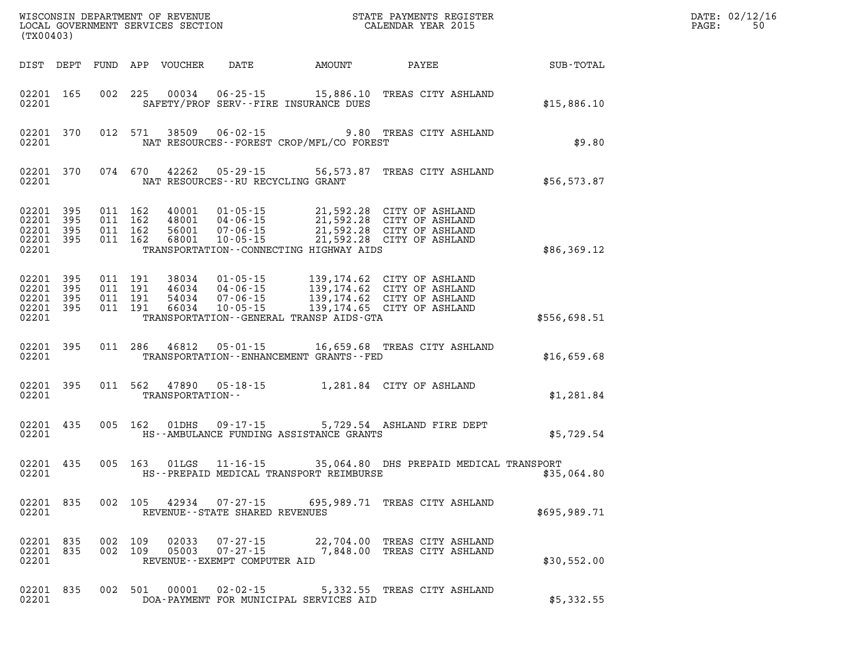| DATE: | 02/12/16 |
|-------|----------|
| PAGE: | 50       |

| (TX00403)                                                 |  |  |                    |                  |                                                                     |                                               |                                                                                                                                                                                                                                                                                                                                           |              | DATE: 02/12/1<br>PAGE:<br>50 |
|-----------------------------------------------------------|--|--|--------------------|------------------|---------------------------------------------------------------------|-----------------------------------------------|-------------------------------------------------------------------------------------------------------------------------------------------------------------------------------------------------------------------------------------------------------------------------------------------------------------------------------------------|--------------|------------------------------|
|                                                           |  |  |                    |                  |                                                                     |                                               |                                                                                                                                                                                                                                                                                                                                           |              |                              |
| 02201 165<br>02201                                        |  |  |                    |                  |                                                                     | SAFETY/PROF SERV--FIRE INSURANCE DUES         | 002 225 00034 06-25-15 15,886.10 TREAS CITY ASHLAND                                                                                                                                                                                                                                                                                       | \$15,886.10  |                              |
| 02201 370<br>02201                                        |  |  |                    |                  |                                                                     | NAT RESOURCES--FOREST CROP/MFL/CO FOREST      | 012 571 38509 06-02-15 9.80 TREAS CITY ASHLAND                                                                                                                                                                                                                                                                                            | \$9.80       |                              |
| 02201 370<br>02201                                        |  |  |                    |                  | NAT RESOURCES - - RU RECYCLING GRANT                                |                                               | 074 670 42262 05-29-15 56,573.87 TREAS CITY ASHLAND                                                                                                                                                                                                                                                                                       | \$56,573.87  |                              |
| 02201 395<br>02201 395<br>02201 395<br>02201 395<br>02201 |  |  |                    |                  |                                                                     | TRANSPORTATION--CONNECTING HIGHWAY AIDS       | 011 162 40001 01-05-15 21,592.28 CITY OF ASHLAND<br>011 162 48001 04-06-15 21,592.28 CITY OF ASHLAND<br>011 162 56001 07-06-15 21,592.28 CITY OF ASHLAND<br>011 162 68001 10-05-15 21,592.28 CITY OF ASHLAND                                                                                                                              | \$86,369.12  |                              |
| 02201 395<br>02201 395<br>02201 395<br>02201 395<br>02201 |  |  |                    |                  |                                                                     | TRANSPORTATION--GENERAL TRANSP AIDS-GTA       | $\begin{array}{cccc} 011 & 191 & 38034 & 01\cdot 05\cdot 15 & 139\,, 174\, .62 & \text{CITY OF ASHLAND} \\ 011 & 191 & 46034 & 04\cdot 06\cdot 15 & 139\,, 174\, .62 & \text{CITY OF ASHLAND} \\ 011 & 191 & 54034 & 07\cdot 06\cdot 15 & 139\,, 174\, .62 & \text{CITY OF ASHLAND} \\ 011 & 191 & 66034 & 10\cdot 05\cdot 15 & 139\,, 1$ | \$556,698.51 |                              |
| 02201 395<br>02201                                        |  |  |                    |                  |                                                                     | TRANSPORTATION - - ENHANCEMENT GRANTS - - FED | 011 286 46812 05-01-15 16,659.68 TREAS CITY ASHLAND                                                                                                                                                                                                                                                                                       | \$16,659.68  |                              |
| 02201 395<br>02201                                        |  |  |                    | TRANSPORTATION-- |                                                                     |                                               | 011 562 47890 05-18-15 1,281.84 CITY OF ASHLAND                                                                                                                                                                                                                                                                                           | \$1,281.84   |                              |
| 02201 435<br>02201                                        |  |  |                    |                  |                                                                     | HS--AMBULANCE FUNDING ASSISTANCE GRANTS       | 005 162 01DHS 09-17-15 5,729.54 ASHLAND FIRE DEPT                                                                                                                                                                                                                                                                                         | \$5,729.54   |                              |
| 02201 435<br>02201                                        |  |  |                    |                  |                                                                     | HS--PREPAID MEDICAL TRANSPORT REIMBURSE       | 005 163 01LGS 11-16-15 35,064.80 DHS PREPAID MEDICAL TRANSPORT                                                                                                                                                                                                                                                                            | \$35,064.80  |                              |
| 02201 835<br>02201                                        |  |  |                    |                  | REVENUE - - STATE SHARED REVENUES                                   |                                               | 002 105 42934 07-27-15 695,989.71 TREAS CITY ASHLAND                                                                                                                                                                                                                                                                                      | \$695,989.71 |                              |
| 02201 835<br>02201 835<br>02201                           |  |  | 002 109<br>002 109 | 02033<br>05003   | $07 - 27 - 15$<br>$07 - 27 - 15$<br>REVENUE - - EXEMPT COMPUTER AID |                                               | 22,704.00 TREAS CITY ASHLAND<br>7,848.00 TREAS CITY ASHLAND                                                                                                                                                                                                                                                                               | \$30,552.00  |                              |
| 02201 835                                                 |  |  | 002 501            | 00001            | $02 - 02 - 15$                                                      |                                               | 5,332.55 TREAS CITY ASHLAND                                                                                                                                                                                                                                                                                                               |              |                              |

**02201 DOA-PAYMENT FOR MUNICIPAL SERVICES AID \$5,332.55**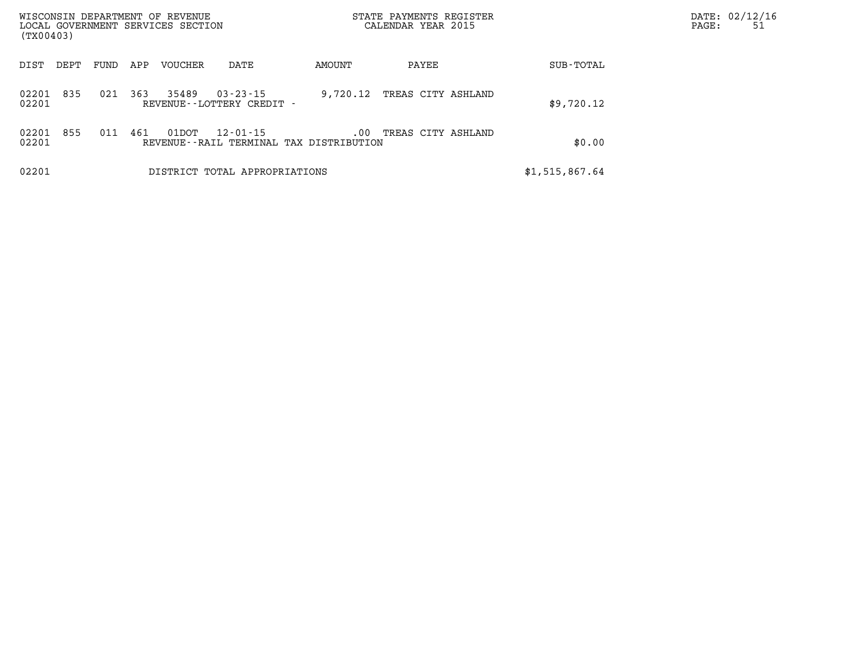| WISCONSIN DEPARTMENT OF REVENUE<br>LOCAL GOVERNMENT SERVICES SECTION<br>(TX00403) |      |      |     |                |                                                | STATE PAYMENTS REGISTER<br>CALENDAR YEAR 2015       |                    |  |                | DATE: 02/12/16<br>PAGE:<br>51 |
|-----------------------------------------------------------------------------------|------|------|-----|----------------|------------------------------------------------|-----------------------------------------------------|--------------------|--|----------------|-------------------------------|
| DIST                                                                              | DEPT | FUND | APP | <b>VOUCHER</b> | DATE                                           | AMOUNT                                              | PAYEE              |  | SUB-TOTAL      |                               |
| 02201<br>02201                                                                    | 835  | 021  | 363 | 35489          | $03 - 23 - 15$<br>REVENUE - - LOTTERY CREDIT - | 9,720.12                                            | TREAS CITY ASHLAND |  | \$9,720.12     |                               |
| 02201<br>02201                                                                    | 855  | 011  | 461 | 01DOT          | 12-01-15                                       | $.00 \,$<br>REVENUE--RAIL TERMINAL TAX DISTRIBUTION | TREAS CITY ASHLAND |  | \$0.00         |                               |
| 02201                                                                             |      |      |     |                | DISTRICT TOTAL APPROPRIATIONS                  |                                                     |                    |  | \$1,515,867.64 |                               |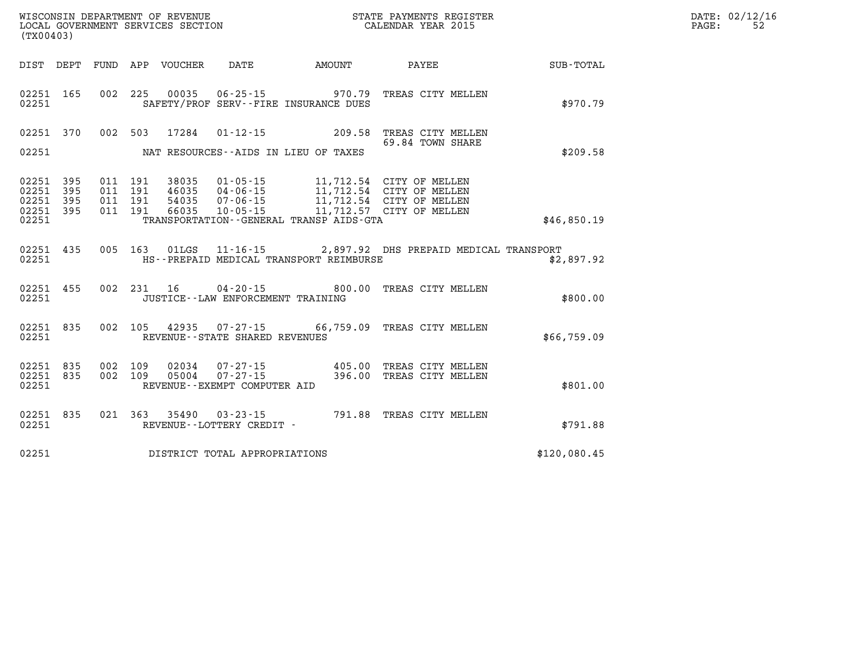| DATE: | 02/12/16 |
|-------|----------|
| PAGE: | 52.      |

| (TX00403)               |            |            | WISCONSIN DEPARTMENT OF REVENUE<br>LOCAL GOVERNMENT SERVICES SECTION |                                                            |                                         | STATE PAYMENTS REGISTER<br>CALENDAR YEAR 2015        |              |
|-------------------------|------------|------------|----------------------------------------------------------------------|------------------------------------------------------------|-----------------------------------------|------------------------------------------------------|--------------|
| DIST                    | DEPT       | FUND       | APP VOUCHER DATE                                                     |                                                            | <b>AMOUNT</b>                           | PAYEE                                                | SUB-TOTAL    |
| 02251<br>02251          | 165        | 002        | 225<br>00035                                                         | SAFETY/PROF SERV--FIRE INSURANCE DUES                      | $06 - 25 - 15$ 970.79                   | TREAS CITY MELLEN                                    | \$970.79     |
| 02251                   | 370        | 002        | 503<br>17284                                                         | $01 - 12 - 15$                                             | 209.58                                  | TREAS CITY MELLEN<br>69.84 TOWN SHARE                |              |
| 02251                   |            |            |                                                                      | NAT RESOURCES--AIDS IN LIEU OF TAXES                       |                                         |                                                      | \$209.58     |
| 02251<br>02251          | 395<br>395 | 011<br>011 | 191<br>38035<br>191<br>46035                                         | $01 - 05 - 15$<br>$04 - 06 - 15$                           |                                         | 11,712.54 CITY OF MELLEN<br>11,712.54 CITY OF MELLEN |              |
| 02251<br>02251          | 395<br>395 | 011<br>011 | 191<br>54035<br>191<br>66035                                         | $07 - 06 - 15$<br>$10 - 05 - 15$                           |                                         | 11,712.54 CITY OF MELLEN<br>11,712.57 CITY OF MELLEN |              |
| 02251                   |            |            |                                                                      |                                                            | TRANSPORTATION--GENERAL TRANSP AIDS-GTA |                                                      | \$46,850.19  |
| 02251<br>02251          | 435        | 005        | 163<br>01LGS                                                         |                                                            | HS--PREPAID MEDICAL TRANSPORT REIMBURSE | 11-16-15 2,897.92 DHS PREPAID MEDICAL TRANSPORT      | \$2,897.92   |
| 02251<br>02251          | 455        | 002        | 231<br>16                                                            | $04 - 20 - 15$<br>JUSTICE - - LAW ENFORCEMENT TRAINING     | 800.00                                  | TREAS CITY MELLEN                                    | \$800.00     |
| 02251<br>02251          | 835        | 002        |                                                                      | REVENUE - - STATE SHARED REVENUES                          |                                         | 105 42935 07-27-15 66,759.09 TREAS CITY MELLEN       | \$66,759.09  |
| 02251<br>02251<br>02251 | 835<br>835 | 002<br>002 | 109<br>02034<br>109<br>05004                                         | 07-27-15<br>$07 - 27 - 15$<br>REVENUE--EXEMPT COMPUTER AID | 405.00<br>396.00                        | TREAS CITY MELLEN<br>TREAS CITY MELLEN               | \$801.00     |
| 02251<br>02251          | 835        | 021        | 363                                                                  | 35490 03-23-15<br>REVENUE--LOTTERY CREDIT -                |                                         | 791.88 TREAS CITY MELLEN                             | \$791.88     |
| 02251                   |            |            | DISTRICT TOTAL APPROPRIATIONS                                        |                                                            |                                         |                                                      | \$120,080.45 |